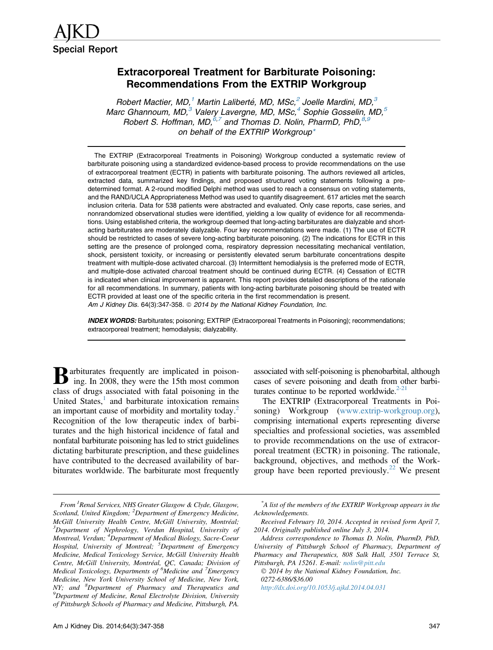# Extracorporeal Treatment for Barbiturate Poisoning: Recommendations From the EXTRIP Workgroup

Robert Mactier, MD,<sup>1</sup> Martin Laliberté, MD, MSc,<sup>2</sup> Joelle Mardini, MD,<sup>3</sup> Marc Ghannoum, MD, $^3$  Valery Lavergne, MD, MSc, $^4$  Sophie Gosselin, MD, $^5$ Robert S. Hoffman, MD,  $6,7$  and Thomas D. Nolin, PharmD, PhD,  $8,9$ on behalf of the EXTRIP Workgroup\*

The EXTRIP (Extracorporeal Treatments in Poisoning) Workgroup conducted a systematic review of barbiturate poisoning using a standardized evidence-based process to provide recommendations on the use of extracorporeal treatment (ECTR) in patients with barbiturate poisoning. The authors reviewed all articles, extracted data, summarized key findings, and proposed structured voting statements following a predetermined format. A 2-round modified Delphi method was used to reach a consensus on voting statements, and the RAND/UCLA Appropriateness Method was used to quantify disagreement. 617 articles met the search inclusion criteria. Data for 538 patients were abstracted and evaluated. Only case reports, case series, and nonrandomized observational studies were identified, yielding a low quality of evidence for all recommendations. Using established criteria, the workgroup deemed that long-acting barbiturates are dialyzable and shortacting barbiturates are moderately dialyzable. Four key recommendations were made. (1) The use of ECTR should be restricted to cases of severe long-acting barbiturate poisoning. (2) The indications for ECTR in this setting are the presence of prolonged coma, respiratory depression necessitating mechanical ventilation, shock, persistent toxicity, or increasing or persistently elevated serum barbiturate concentrations despite treatment with multiple-dose activated charcoal. (3) Intermittent hemodialysis is the preferred mode of ECTR, and multiple-dose activated charcoal treatment should be continued during ECTR. (4) Cessation of ECTR is indicated when clinical improvement is apparent. This report provides detailed descriptions of the rationale for all recommendations. In summary, patients with long-acting barbiturate poisoning should be treated with ECTR provided at least one of the specific criteria in the first recommendation is present. Am J Kidney Dis. 64(3):347-358. @ 2014 by the National Kidney Foundation, Inc.

INDEX WORDS: Barbiturates; poisoning; EXTRIP (Extracorporeal Treatments in Poisoning); recommendations; extracorporeal treatment; hemodialysis; dialyzability.

 $\mathbf{B}$  arbiturates frequently are implicated in poison-<br>ing. In 2008, they were the 15th most communiing. In 2008, they were the 15th most common class of drugs associated with fatal poisoning in the United States, $\frac{1}{1}$  $\frac{1}{1}$  $\frac{1}{1}$  and barbiturate intoxication remains an important cause of morbidity and mortality today.<sup>2</sup> Recognition of the low therapeutic index of barbiturates and the high historical incidence of fatal and nonfatal barbiturate poisoning has led to strict guidelines dictating barbiturate prescription, and these guidelines have contributed to the decreased availability of barbiturates worldwide. The barbiturate most frequently

From <sup>1</sup> Renal Services, NHS Greater Glasgow & Clyde, Glasgow, Scotland, United Kingdom; <sup>2</sup>Department of Emergency Medicine, McGill University Health Centre, McGill University, Montréal; <sup>3</sup>Department of Nephrology, Verdun Hospital, University of Montreal, Verdun; <sup>4</sup>Department of Medical Biology, Sacre-Coeur Hospital, University of Montreal; <sup>5</sup>Department of Emergency Medicine, Medical Toxicology Service, McGill University Health Centre, McGill University, Montréal, QC, Canada; Division of Medical Toxicology, Departments of <sup>6</sup>Medicine and <sup>7</sup>Emergency Medicine, New York University School of Medicine, New York, NY; and <sup>8</sup>Department of Pharmacy and Therapeutics and <sup>9</sup>Department of Medicine, Papel Electrolyte Division University  ${}^{9}$ Department of Medicine, Renal Electrolyte Division, University of Pittsburgh Schools of Pharmacy and Medicine, Pittsburgh, PA.

associated with self-poisoning is phenobarbital, although cases of severe poisoning and death from other barbiturates continue to be reported worldwide. $2-21$ 

The EXTRIP (Extracorporeal Treatments in Poisoning) Workgroup [\(www.extrip-workgroup.org](http://www.extrip-workgroup.org)), comprising international experts representing diverse specialties and professional societies, was assembled to provide recommendations on the use of extracorporeal treatment (ECTR) in poisoning. The rationale, background, objectives, and methods of the Work-group have been reported previously.<sup>[22](#page-8-0)</sup> We present

 $©$  2014 by the National Kidney Foundation, Inc. 0272-6386/\$36.00 <http://dx.doi.org/10.1053/j.ajkd.2014.04.031>

<sup>\*</sup> A list of the members of the EXTRIP Workgroup appears in the Acknowledgements.

Received February 10, 2014. Accepted in revised form April 7, 2014. Originally published online July 3, 2014.

Address correspondence to Thomas D. Nolin, PharmD, PhD, University of Pittsburgh School of Pharmacy, Department of Pharmacy and Therapeutics, 808 Salk Hall, 3501 Terrace St, Pittsburgh, PA 15261. E-mail: [nolin@pitt.edu](mailto:nolin@pitt.edu)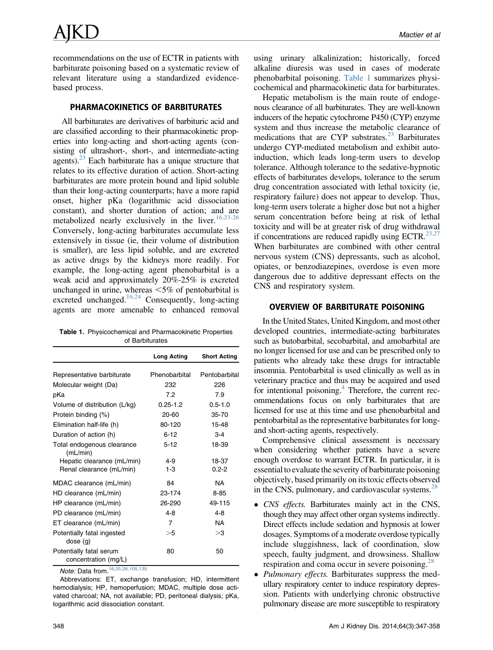<span id="page-1-0"></span>recommendations on the use of ECTR in patients with barbiturate poisoning based on a systematic review of relevant literature using a standardized evidencebased process.

# PHARMACOKINETICS OF BARBITURATES

All barbiturates are derivatives of barbituric acid and are classified according to their pharmacokinetic properties into long-acting and short-acting agents (consisting of ultrashort-, short-, and intermediate-acting agents). $^{23}$  Each barbiturate has a unique structure that relates to its effective duration of action. Short-acting barbiturates are more protein bound and lipid soluble than their long-acting counterparts; have a more rapid onset, higher pKa (logarithmic acid dissociation constant), and shorter duration of action; and are metabolized nearly exclusively in the liver.  $16,23-26$ Conversely, long-acting barbiturates accumulate less extensively in tissue (ie, their volume of distribution is smaller), are less lipid soluble, and are excreted as active drugs by the kidneys more readily. For example, the long-acting agent phenobarbital is a weak acid and approximately 20%-25% is excreted unchanged in urine, whereas  $\leq 5\%$  of pentobarbital is excreted unchanged.<sup>16,24</sup> Consequently, long-acting agents are more amenable to enhanced removal

Table 1. Physicochemical and Pharmacokinetic Properties of Barbiturates

|                                                 | <b>Long Acting</b> | <b>Short Acting</b> |
|-------------------------------------------------|--------------------|---------------------|
|                                                 |                    |                     |
| Representative barbiturate                      | Phenobarbital      | Pentobarbital       |
| Molecular weight (Da)                           | 232                | 226                 |
| pKa                                             | 7.2                | 7.9                 |
| Volume of distribution (L/kg)                   | $0.25 - 1.2$       | $0.5 - 1.0$         |
| Protein binding (%)                             | $20 - 60$          | $35 - 70$           |
| Elimination half-life (h)                       | 80-120             | 15-48               |
| Duration of action (h)                          | $6 - 12$           | $3 - 4$             |
| Total endogenous clearance<br>(mL/min)          | $5 - 12$           | 18-39               |
| Hepatic clearance (mL/min)                      | $4-9$              | 18-37               |
| Renal clearance (mL/min)                        | $1 - 3$            | $0.2 - 2$           |
| MDAC clearance (mL/min)                         | 84                 | <b>NA</b>           |
| HD clearance (mL/min)                           | 23-174             | $8 - 85$            |
| HP clearance (mL/min)                           | 26-290             | 49-115              |
| PD clearance (mL/min)                           | $4 - 8$            | $4 - 8$             |
| ET clearance (mL/min)                           | 7                  | <b>NA</b>           |
| Potentially fatal ingested<br>dose(g)           | >5                 | >3                  |
| Potentially fatal serum<br>concentration (mg/L) | 80                 | 50                  |

Note: Data from.[16,25,26,105,135](#page-8-0)

Abbreviations: ET, exchange transfusion; HD, intermittent hemodialysis; HP, hemoperfusion; MDAC, multiple dose activated charcoal; NA, not available; PD, peritoneal dialysis; pKa, logarithmic acid dissociation constant.

using urinary alkalinization; historically, forced alkaline diuresis was used in cases of moderate phenobarbital poisoning. Table 1 summarizes physicochemical and pharmacokinetic data for barbiturates.

Hepatic metabolism is the main route of endogenous clearance of all barbiturates. They are well-known inducers of the hepatic cytochrome P450 (CYP) enzyme system and thus increase the metabolic clearance of medications that are CYP substrates. $23$  Barbiturates undergo CYP-mediated metabolism and exhibit autoinduction, which leads long-term users to develop tolerance. Although tolerance to the sedative-hypnotic effects of barbiturates develops, tolerance to the serum drug concentration associated with lethal toxicity (ie, respiratory failure) does not appear to develop. Thus, long-term users tolerate a higher dose but not a higher serum concentration before being at risk of lethal toxicity and will be at greater risk of drug withdrawal if concentrations are reduced rapidly using ECTR. $^{23,27}$ When barbiturates are combined with other central nervous system (CNS) depressants, such as alcohol, opiates, or benzodiazepines, overdose is even more dangerous due to additive depressant effects on the CNS and respiratory system.

# OVERVIEW OF BARBITURATE POISONING

In the United States, United Kingdom, and most other developed countries, intermediate-acting barbiturates such as butobarbital, secobarbital, and amobarbital are no longer licensed for use and can be prescribed only to patients who already take these drugs for intractable insomnia. Pentobarbital is used clinically as well as in veterinary practice and thus may be acquired and used for intentional poisoning. $4$  Therefore, the current recommendations focus on only barbiturates that are licensed for use at this time and use phenobarbital and pentobarbital as the representative barbiturates for longand short-acting agents, respectively.

Comprehensive clinical assessment is necessary when considering whether patients have a severe enough overdose to warrant ECTR. In particular, it is essential to evaluate the severity of barbiturate poisoning objectively, based primarily on its toxic effects observed in the CNS, pulmonary, and cardiovascular systems. $^{28}$  $^{28}$  $^{28}$ 

- CNS effects. Barbiturates mainly act in the CNS, though they may affect other organ systems indirectly. Direct effects include sedation and hypnosis at lower dosages. Symptoms of a moderate overdose typically include sluggishness, lack of coordination, slow speech, faulty judgment, and drowsiness. Shallow respiration and coma occur in severe poisoning.<sup>28</sup>
- Pulmonary effects. Barbiturates suppress the medullary respiratory center to induce respiratory depression. Patients with underlying chronic obstructive pulmonary disease are more susceptible to respiratory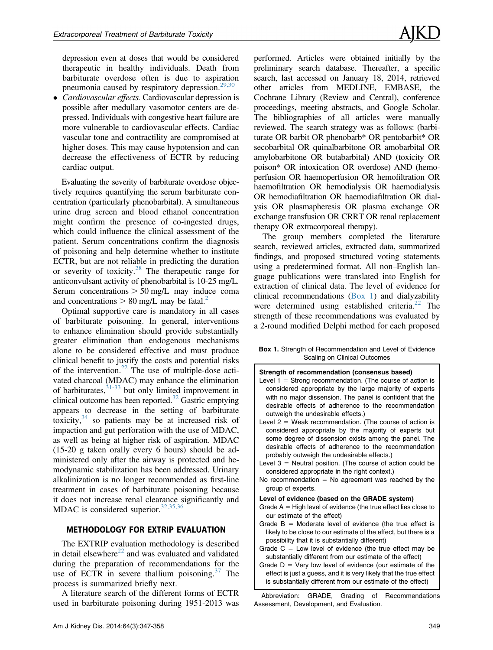depression even at doses that would be considered therapeutic in healthy individuals. Death from barbiturate overdose often is due to aspiration pneumonia caused by respiratory depression. $29,30$ 

• Cardiovascular effects. Cardiovascular depression is possible after medullary vasomotor centers are depressed. Individuals with congestive heart failure are more vulnerable to cardiovascular effects. Cardiac vascular tone and contractility are compromised at higher doses. This may cause hypotension and can decrease the effectiveness of ECTR by reducing cardiac output.

Evaluating the severity of barbiturate overdose objectively requires quantifying the serum barbiturate concentration (particularly phenobarbital). A simultaneous urine drug screen and blood ethanol concentration might confirm the presence of co-ingested drugs, which could influence the clinical assessment of the patient. Serum concentrations confirm the diagnosis of poisoning and help determine whether to institute ECTR, but are not reliable in predicting the duration or severity of toxicity.<sup>[28](#page-8-0)</sup> The therapeutic range for anticonvulsant activity of phenobarbital is 10-25 mg/L. Serum concentrations  $> 50$  mg/L may induce coma and concentrations  $> 80$  mg/L may be fatal.<sup>2</sup>

Optimal supportive care is mandatory in all cases of barbiturate poisoning. In general, interventions to enhance elimination should provide substantially greater elimination than endogenous mechanisms alone to be considered effective and must produce clinical benefit to justify the costs and potential risks of the intervention. $22$  The use of multiple-dose activated charcoal (MDAC) may enhance the elimination of barbiturates,  $31-33$  but only limited improvement in clinical outcome has been reported. $32$  Gastric emptying appears to decrease in the setting of barbiturate toxicity, $34$  so patients may be at increased risk of impaction and gut perforation with the use of MDAC, as well as being at higher risk of aspiration. MDAC (15-20 g taken orally every 6 hours) should be administered only after the airway is protected and hemodynamic stabilization has been addressed. Urinary alkalinization is no longer recommended as first-line treatment in cases of barbiturate poisoning because it does not increase renal clearance significantly and MDAC is considered superior.  $32,35,36$ 

# METHODOLOGY FOR EXTRIP EVALUATION

The EXTRIP evaluation methodology is described in detail elsewhere<sup>[22](#page-8-0)</sup> and was evaluated and validated during the preparation of recommendations for the use of ECTR in severe thallium poisoning.<sup>[37](#page-9-0)</sup> The process is summarized briefly next.

A literature search of the different forms of ECTR used in barbiturate poisoning during 1951-2013 was performed. Articles were obtained initially by the preliminary search database. Thereafter, a specific search, last accessed on January 18, 2014, retrieved other articles from MEDLINE, EMBASE, the Cochrane Library (Review and Central), conference proceedings, meeting abstracts, and Google Scholar. The bibliographies of all articles were manually reviewed. The search strategy was as follows: (barbiturate OR barbit OR phenobarb\* OR pentobarbit\* OR secobarbital OR quinalbarbitone OR amobarbital OR amylobarbitone OR butabarbital) AND (toxicity OR poison\* OR intoxication OR overdose) AND (hemoperfusion OR haemoperfusion OR hemofiltration OR haemofiltration OR hemodialysis OR haemodialysis OR hemodiafiltration OR haemodiafiltration OR dialysis OR plasmapheresis OR plasma exchange OR exchange transfusion OR CRRT OR renal replacement therapy OR extracorporeal therapy).

The group members completed the literature search, reviewed articles, extracted data, summarized findings, and proposed structured voting statements using a predetermined format. All non–English language publications were translated into English for extraction of clinical data. The level of evidence for clinical recommendations (Box 1) and dialyzability were determined using established criteria. $^{22}$  $^{22}$  $^{22}$  The strength of these recommendations was evaluated by a 2-round modified Delphi method for each proposed

Box 1. Strength of Recommendation and Level of Evidence Scaling on Clinical Outcomes

| Strength of recommendation (consensus based)                       |  |  |  |
|--------------------------------------------------------------------|--|--|--|
| Level $1 =$ Strong recommendation. (The course of action is        |  |  |  |
| considered appropriate by the large majority of experts            |  |  |  |
| with no major dissension. The panel is confident that the          |  |  |  |
| desirable effects of adherence to the recommendation               |  |  |  |
| outweigh the undesirable effects.)                                 |  |  |  |
| Level $2 =$ Weak recommendation. (The course of action is          |  |  |  |
| considered appropriate by the majority of experts but              |  |  |  |
| some degree of dissension exists among the panel. The              |  |  |  |
| desirable effects of adherence to the recommendation               |  |  |  |
| probably outweigh the undesirable effects.)                        |  |  |  |
| Level $3$ = Neutral position. (The course of action could be       |  |  |  |
| considered appropriate in the right context.)                      |  |  |  |
| No recommendation $=$ No agreement was reached by the              |  |  |  |
| group of experts.                                                  |  |  |  |
| Level of evidence (based on the GRADE system)                      |  |  |  |
| Grade $A = High level of evidence (the true effect lies close to)$ |  |  |  |
| our estimate of the effect)                                        |  |  |  |
| Grade $B =$ Moderate level of evidence (the true effect is         |  |  |  |
| likely to be close to our estimate of the effect, but there is a   |  |  |  |
| possibility that it is substantially different)                    |  |  |  |
| Grade $C = Low$ level of evidence (the true effect may be          |  |  |  |
| substantially different from our estimate of the effect)           |  |  |  |
| Grade $D = Very$ low level of evidence (our estimate of the        |  |  |  |
| effect is just a guess, and it is very likely that the true effect |  |  |  |
| is substantially different from our estimate of the effect)        |  |  |  |
|                                                                    |  |  |  |

Abbreviation: GRADE, Grading of Recommendations Assessment, Development, and Evaluation.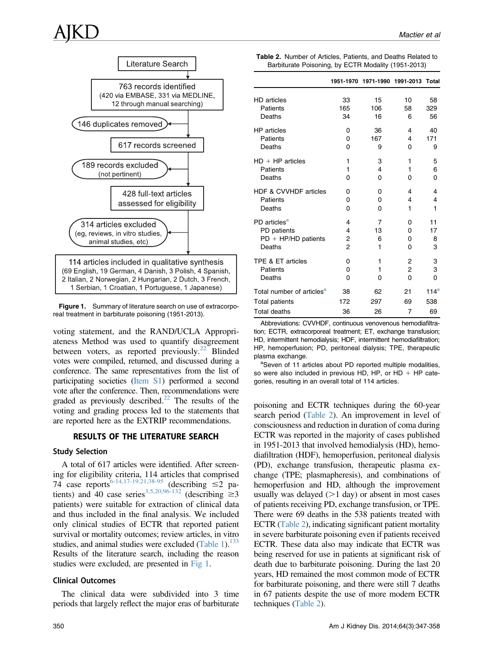

Figure 1. Summary of literature search on use of extracorporeal treatment in barbiturate poisoning (1951-2013).

voting statement, and the RAND/UCLA Appropriateness Method was used to quantify disagreement between voters, as reported previously. $^{22}$  Blinded votes were compiled, returned, and discussed during a conference. The same representatives from the list of participating societies (Item S1) performed a second vote after the conference. Then, recommendations were graded as previously described.<sup>22</sup> The results of the voting and grading process led to the statements that are reported here as the EXTRIP recommendations.

### RESULTS OF THE LITERATURE SEARCH

### Study Selection

A total of 617 articles were identified. After screening for eligibility criteria, 114 articles that comprised 74 case reports<sup>[6-14,17-19,21,38-95](#page-8-0)</sup> (describing  $\leq$  pa-tients) and 40 case series<sup>[3,5,20,96-132](#page-8-0)</sup> (describing  $\geq 3$ ) patients) were suitable for extraction of clinical data and thus included in the final analysis. We included only clinical studies of ECTR that reported patient survival or mortality outcomes; review articles, in vitro studies, and animal studies were excluded  $(Table 1)$ .<sup>133</sup> Results of the literature search, including the reason studies were excluded, are presented in Fig 1.

### Clinical Outcomes

The clinical data were subdivided into 3 time periods that largely reflect the major eras of barbiturate

|                                                     |  | <b>Table 2.</b> Number of Articles, Patients, and Deaths Related to |
|-----------------------------------------------------|--|---------------------------------------------------------------------|
| Barbiturate Poisoning, by ECTR Modality (1951-2013) |  |                                                                     |

|                                       |                | 1951-1970 1971-1990 1991-2013 Total |    |                  |
|---------------------------------------|----------------|-------------------------------------|----|------------------|
| <b>HD</b> articles                    | 33             | 15                                  | 10 | 58               |
| Patients                              | 165            | 106                                 | 58 | 329              |
| Deaths                                | 34             | 16                                  | 6  | 56               |
| <b>HP</b> articles                    | 0              | 36                                  | 4  | 40               |
| Patients                              | 0              | 167                                 | 4  | 171              |
| Deaths                                | $\Omega$       | 9                                   | 0  | 9                |
| $HD + HP$ articles                    | 1              | 3                                   | 1  | 5                |
| Patients                              | 1              | 4                                   | 1  | 6                |
| Deaths                                | 0              | 0                                   | 0  | 0                |
| HDF & CVVHDF articles                 | 0              | 0                                   | 4  | 4                |
| Patients                              | 0              | 0                                   | 4  | 4                |
| Deaths                                | $\Omega$       | 0                                   | 1  | 1                |
| PD articles <sup>a</sup>              | 4              | 7                                   | 0  | 11               |
| PD patients                           | 4              | 13                                  | 0  | 17               |
| $PD + HP/HD$ patients                 | 2              | 6                                   | 0  | 8                |
| Deaths                                | $\overline{2}$ | 1                                   | 0  | 3                |
| TPE & ET articles                     | 0              | 1                                   | 2  | 3                |
| Patients                              | 0              | 1                                   | 2  | 3                |
| Deaths                                | $\Omega$       | O                                   | 0  | 0                |
| Total number of articles <sup>a</sup> | 38             | 62                                  | 21 | 114 <sup>a</sup> |
| Total patients                        | 172            | 297                                 | 69 | 538              |
| Total deaths                          | 36             | 26                                  | 7  | 69               |

Abbreviations: CVVHDF, continuous venovenous hemodiafiltration; ECTR, extracorporeal treatment; ET, exchange transfusion; HD, intermittent hemodialysis; HDF, intermittent hemodiafiltration; HP, hemoperfusion; PD, peritoneal dialysis; TPE, therapeutic plasma exchange.

aSeven of 11 articles about PD reported multiple modalities, so were also included in previous HD, HP, or HD  $+$  HP categories, resulting in an overall total of 114 articles.

poisoning and ECTR techniques during the 60-year search period (Table 2). An improvement in level of consciousness and reduction in duration of coma during ECTR was reported in the majority of cases published in 1951-2013 that involved hemodialysis (HD), hemodiafiltration (HDF), hemoperfusion, peritoneal dialysis (PD), exchange transfusion, therapeutic plasma exchange (TPE; plasmapheresis), and combinations of hemoperfusion and HD, although the improvement usually was delayed  $(>1$  day) or absent in most cases of patients receiving PD, exchange transfusion, or TPE. There were 69 deaths in the 538 patients treated with ECTR (Table 2), indicating significant patient mortality in severe barbiturate poisoning even if patients received ECTR. These data also may indicate that ECTR was being reserved for use in patients at significant risk of death due to barbiturate poisoning. During the last 20 years, HD remained the most common mode of ECTR for barbiturate poisoning, and there were still 7 deaths in 67 patients despite the use of more modern ECTR techniques (Table 2).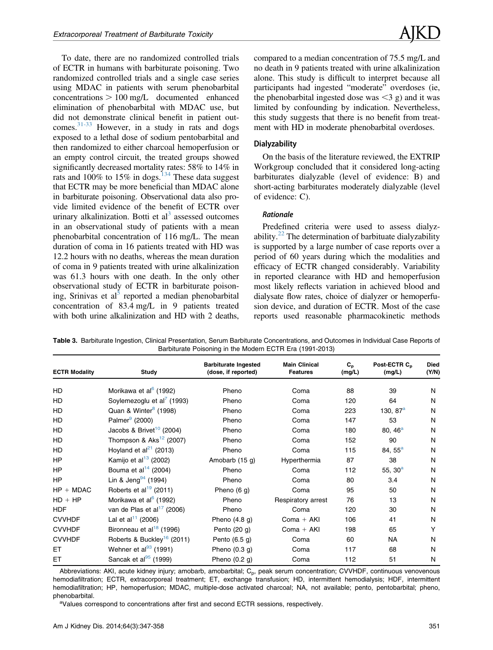<span id="page-4-0"></span>To date, there are no randomized controlled trials of ECTR in humans with barbiturate poisoning. Two randomized controlled trials and a single case series using MDAC in patients with serum phenobarbital  $concentrations > 100$  mg/L documented enhanced elimination of phenobarbital with MDAC use, but did not demonstrate clinical benefit in patient outcomes.[31-33](#page-9-0) However, in a study in rats and dogs exposed to a lethal dose of sodium pentobarbital and then randomized to either charcoal hemoperfusion or an empty control circuit, the treated groups showed significantly decreased mortality rates: 58% to 14% in rats and  $100\%$  to  $15\%$  in dogs.<sup>134</sup> These data suggest that ECTR may be more beneficial than MDAC alone in barbiturate poisoning. Observational data also provide limited evidence of the benefit of ECTR over urinary alkalinization. Botti et  $al<sup>3</sup>$  $al<sup>3</sup>$  $al<sup>3</sup>$  assessed outcomes in an observational study of patients with a mean phenobarbital concentration of 116 mg/L. The mean duration of coma in 16 patients treated with HD was 12.2 hours with no deaths, whereas the mean duration of coma in 9 patients treated with urine alkalinization was 61.3 hours with one death. In the only other observational study of ECTR in barbiturate poison-ing, Srinivas et al<sup>[5](#page-8-0)</sup> reported a median phenobarbital concentration of 83.4 mg/L in 9 patients treated with both urine alkalinization and HD with 2 deaths,

compared to a median concentration of 75.5 mg/L and no death in 9 patients treated with urine alkalinization alone. This study is difficult to interpret because all participants had ingested "moderate" overdoses (ie, the phenobarbital ingested dose was  $\leq$ 3 g) and it was limited by confounding by indication. Nevertheless, this study suggests that there is no benefit from treatment with HD in moderate phenobarbital overdoses.

### **Dialyzability**

On the basis of the literature reviewed, the EXTRIP Workgroup concluded that it considered long-acting barbiturates dialyzable (level of evidence: B) and short-acting barbiturates moderately dialyzable (level of evidence: C).

## **Rationale**

Predefined criteria were used to assess dialyzability. $22$  The determination of barbituate dialyzability is supported by a large number of case reports over a period of 60 years during which the modalities and efficacy of ECTR changed considerably. Variability in reported clearance with HD and hemoperfusion most likely reflects variation in achieved blood and dialysate flow rates, choice of dialyzer or hemoperfusion device, and duration of ECTR. Most of the case reports used reasonable pharmacokinetic methods

Table 3. Barbiturate Ingestion, Clinical Presentation, Serum Barbiturate Concentrations, and Outcomes in Individual Case Reports of Barbiturate Poisoning in the Modern ECTR Era (1991-2013)

| <b>ECTR Modality</b> | Study                                  | <b>Barbiturate Ingested</b><br>(dose, if reported) | <b>Main Clinical</b><br><b>Features</b> | $C_{p}$<br>(mg/L) | Post-ECTR C <sub>n</sub><br>(mg/L) | <b>Died</b><br>(Y/N) |
|----------------------|----------------------------------------|----------------------------------------------------|-----------------------------------------|-------------------|------------------------------------|----------------------|
| HD                   | Morikawa et al <sup>6</sup> (1992)     | Pheno                                              | Coma                                    | 88                | 39                                 | N                    |
| HD                   |                                        |                                                    |                                         |                   |                                    | N                    |
|                      | Soylemezoglu et al' (1993)             | Pheno                                              | Coma                                    | 120               | 64                                 |                      |
| <b>HD</b>            | Quan & Winter <sup>8</sup> (1998)      | Pheno                                              | Coma                                    | 223               | 130, $87^{\circ}$                  | N                    |
| H <sub>D</sub>       | Palmer <sup>9</sup> (2000)             | Pheno                                              | Coma                                    | 147               | 53                                 | N                    |
| HD                   | Jacobs & Brivet <sup>10</sup> (2004)   | Pheno                                              | Coma                                    | 180               | 80, 46 <sup>a</sup>                | N                    |
| HD                   | Thompson & $\text{Aks}^{12}$ (2007)    | Pheno                                              | Coma                                    | 152               | 90                                 | N                    |
| HD.                  | Hoyland et al <sup>21</sup> (2013)     | Pheno                                              | Coma                                    | 115               | 84, 55 <sup>a</sup>                | N                    |
| HP                   | Kamijo et al $13$ (2002)               | Amobarb (15 g)                                     | Hyperthermia                            | 87                | 38                                 | N                    |
| HP                   | Bouma et al <sup>14</sup> (2004)       | Pheno                                              | Coma                                    | 112               | 55, $30^{\circ}$                   | N                    |
| <b>HP</b>            | Lin & Jeng $^{94}$ (1994)              | Pheno                                              | Coma                                    | 80                | 3.4                                | N                    |
| $HP + MDAC$          | Roberts et al <sup>19</sup> (2011)     | Pheno $(6 q)$                                      | Coma                                    | 95                | 50                                 | N                    |
| $HD + HP$            | Morikawa et al <sup>6</sup> (1992)     | Pheno                                              | Respiratory arrest                      | 76                | 13                                 | N                    |
| <b>HDF</b>           | van de Plas et al $17$ (2006)          | Pheno                                              | Coma                                    | 120               | 30                                 | N                    |
| <b>CVVHDF</b>        | Lal et al <sup>11</sup> (2006)         | Pheno $(4.8 g)$                                    | $Coma + AKI$                            | 106               | 41                                 | N                    |
| <b>CVVHDF</b>        | Bironneau et al <sup>18</sup> (1996)   | Pento $(20 g)$                                     | $Coma + AKI$                            | 198               | 65                                 | Υ                    |
| <b>CVVHDF</b>        | Roberts & Buckley <sup>16</sup> (2011) | Pento $(6.5 g)$                                    | Coma                                    | 60                | NA.                                | N                    |
| ET                   | Wehner et al $^{93}$ (1991)            | Pheno $(0.3 g)$                                    | Coma                                    | 117               | 68                                 | N                    |
| ET                   | Sancak et al $^{95}$ (1999)            | Pheno $(0.2 g)$                                    | Coma                                    | 112               | 51                                 | N                    |

Abbreviations: AKI, acute kidney injury; amobarb, amobarbital; C<sub>p</sub>, peak serum concentration; CVVHDF, continuous venovenous hemodiafiltration; ECTR, extracorporeal treatment; ET, exchange transfusion; HD, intermittent hemodialysis; HDF, intermittent hemodiafiltration; HP, hemoperfusion; MDAC, multiple-dose activated charcoal; NA, not available; pento, pentobarbital; pheno, phenobarbital.

<sup>a</sup>Values correspond to concentrations after first and second ECTR sessions, respectively.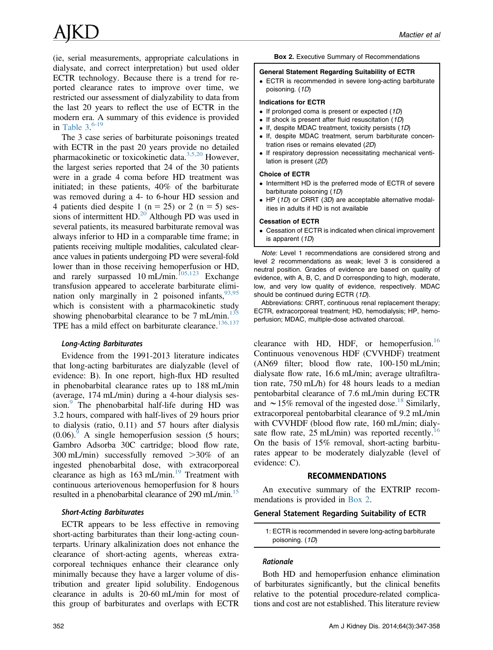(ie, serial measurements, appropriate calculations in dialysate, and correct interpretation) but used older ECTR technology. Because there is a trend for reported clearance rates to improve over time, we restricted our assessment of dialyzability to data from the last 20 years to reflect the use of ECTR in the modern era. A summary of this evidence is provided in Table  $3^{6-19}$  $3^{6-19}$  $3^{6-19}$ 

The 3 case series of barbiturate poisonings treated with ECTR in the past 20 years provide no detailed pharmacokinetic or toxicokinetic data.[3,5,20](#page-8-0) However, the largest series reported that 24 of the 30 patients were in a grade 4 coma before HD treatment was initiated; in these patients, 40% of the barbiturate was removed during a 4- to 6-hour HD session and 4 patients died despite 1 ( $n = 25$ ) or 2 ( $n = 5$ ) sessions of intermittent  $HD.^{20}$  $HD.^{20}$  $HD.^{20}$ . Although PD was used in several patients, its measured barbiturate removal was always inferior to HD in a comparable time frame; in patients receiving multiple modalities, calculated clearance values in patients undergoing PD were several-fold lower than in those receiving hemoperfusion or HD, and rarely surpassed  $10 \text{ mL/min}$ .<sup>[105,123](#page-10-0)</sup> Exchange transfusion appeared to accelerate barbiturate elimination only marginally in 2 poisoned infants,  $93,95$ which is consistent with a pharmacokinetic study showing phenobarbital clearance to be  $7 \text{ mL/min}$ .<sup>135</sup> TPE has a mild effect on barbiturate clearance.<sup>[136,137](#page-11-0)</sup>

Evidence from the 1991-2013 literature indicates that long-acting barbiturates are dialyzable (level of evidence: B). In one report, high-flux HD resulted in phenobarbital clearance rates up to 188 mL/min (average, 174 mL/min) during a 4-hour dialysis ses-sion.<sup>[9](#page-8-0)</sup> The phenobarbital half-life during HD was 3.2 hours, compared with half-lives of 29 hours prior to dialysis (ratio, 0.11) and 57 hours after dialysis  $(0.06)$ . A single hemoperfusion session (5 hours; Gambro Adsorba 30C cartridge; blood flow rate, 300 mL/min) successfully removed  $>30\%$  of an ingested phenobarbital dose, with extracorporeal clearance as high as  $163 \text{ mL/min}$ .<sup>[19](#page-8-0)</sup> Treatment with continuous arteriovenous hemoperfusion for 8 hours resulted in a phenobarbital clearance of 290 mL/min.<sup>15</sup>

ECTR appears to be less effective in removing short-acting barbiturates than their long-acting counterparts. Urinary alkalinization does not enhance the clearance of short-acting agents, whereas extracorporeal techniques enhance their clearance only minimally because they have a larger volume of distribution and greater lipid solubility. Endogenous clearance in adults is 20-60 mL/min for most of this group of barbiturates and overlaps with ECTR

#### General Statement Regarding Suitability of ECTR

 ECTR is recommended in severe long-acting barbiturate poisoning. (1D)

#### Indications for ECTR

- $\bullet$  If prolonged coma is present or expected (1D)
- $\bullet$  If shock is present after fluid resuscitation (1D)
- $\bullet$  If, despite MDAC treatment, toxicity persists (1D)
- If, despite MDAC treatment, serum barbiturate concentration rises or remains elevated (2D)
- If respiratory depression necessitating mechanical ventilation is present (2D)

#### Choice of ECTR

- Intermittent HD is the preferred mode of ECTR of severe barbiturate poisoning (1D)
- $\bullet$  HP (1D) or CRRT (3D) are acceptable alternative modalities in adults if HD is not available

#### Cessation of ECTR

 Cessation of ECTR is indicated when clinical improvement is apparent (1D)

Note: Level 1 recommendations are considered strong and level 2 recommendations as weak; level 3 is considered a neutral position. Grades of evidence are based on quality of evidence, with A, B, C, and D corresponding to high, moderate, low, and very low quality of evidence, respectively. MDAC should be continued during ECTR (1D).

Abbreviations: CRRT, continuous renal replacement therapy; ECTR, extracorporeal treatment; HD, hemodialysis; HP, hemoperfusion; MDAC, multiple-dose activated charcoal.

clearance with HD, HDF, or hemoperfusion.<sup>[16](#page-8-0)</sup> Continuous venovenous HDF (CVVHDF) treatment (AN69 filter; blood flow rate, 100-150 mL/min; dialysate flow rate, 16.6 mL/min; average ultrafiltration rate, 750 mL/h) for 48 hours leads to a median pentobarbital clearance of 7.6 mL/min during ECTR and  $\sim$  15% removal of the ingested dose.<sup>[18](#page-8-0)</sup> Similarly, extracorporeal pentobarbital clearance of 9.2 mL/min with CVVHDF (blood flow rate, 160 mL/min; dialysate flow rate,  $25 \text{ mL/min}$  was reported recently.<sup>[16](#page-8-0)</sup> On the basis of 15% removal, short-acting barbiturates appear to be moderately dialyzable (level of evidence: C).

### RECOMMENDATIONS

An executive summary of the EXTRIP recommendations is provided in Box 2.

### General Statement Regarding Suitability of ECTR

Hattiming and hemoperfusion enhance elimination of barbiturates significantly, but the clinical benefits relative to the potential procedure-related complications and cost are not established. This literature review

<sup>1:</sup> ECTR is recommended in severe long-acting barbiturate poisoning. (1D)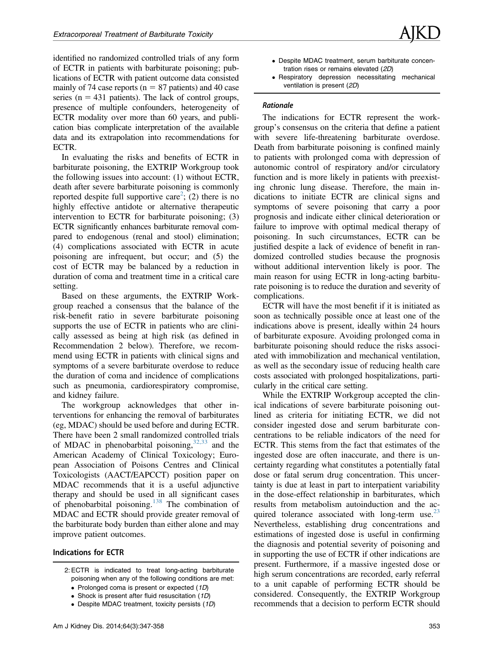identified no randomized controlled trials of any form of ECTR in patients with barbiturate poisoning; publications of ECTR with patient outcome data consisted mainly of 74 case reports ( $n = 87$  patients) and 40 case series ( $n = 431$  patients). The lack of control groups, presence of multiple confounders, heterogeneity of ECTR modality over more than 60 years, and publication bias complicate interpretation of the available data and its extrapolation into recommendations for ECTR.

In evaluating the risks and benefits of ECTR in barbiturate poisoning, the EXTRIP Workgroup took the following issues into account: (1) without ECTR, death after severe barbiturate poisoning is commonly reported despite full supportive care<sup>2</sup>; (2) there is no highly effective antidote or alternative therapeutic intervention to ECTR for barbiturate poisoning; (3) ECTR significantly enhances barbiturate removal compared to endogenous (renal and stool) elimination; (4) complications associated with ECTR in acute poisoning are infrequent, but occur; and (5) the cost of ECTR may be balanced by a reduction in duration of coma and treatment time in a critical care setting.

Based on these arguments, the EXTRIP Workgroup reached a consensus that the balance of the risk-benefit ratio in severe barbiturate poisoning supports the use of ECTR in patients who are clinically assessed as being at high risk (as defined in Recommendation 2 below). Therefore, we recommend using ECTR in patients with clinical signs and symptoms of a severe barbiturate overdose to reduce the duration of coma and incidence of complications such as pneumonia, cardiorespiratory compromise, and kidney failure.

The workgroup acknowledges that other interventions for enhancing the removal of barbiturates (eg, MDAC) should be used before and during ECTR. There have been 2 small randomized controlled trials of MDAC in phenobarbital poisoning,  $32,33$  and the American Academy of Clinical Toxicology; European Association of Poisons Centres and Clinical Toxicologists (AACT/EAPCCT) position paper on MDAC recommends that it is a useful adjunctive therapy and should be used in all significant cases of phenobarbital poisoning.[138](#page-11-0) The combination of MDAC and ECTR should provide greater removal of the barbiturate body burden than either alone and may improve patient outcomes.

### Indications for ECTR

- 2: ECTR is indicated to treat long-acting barbiturate poisoning when any of the following conditions are met:
	- Prolonged coma is present or expected (1D)
	- Shock is present after fluid resuscitation (1D)
	- Despite MDAC treatment, toxicity persists (1D)
- Despite MDAC treatment, serum barbiturate concentration rises or remains elevated (2D)
- Respiratory depression necessitating mechanical ventilation is present (2D)

The indications for ECTR represent the workgroup's consensus on the criteria that define a patient with severe life-threatening barbiturate overdose. Death from barbiturate poisoning is confined mainly to patients with prolonged coma with depression of autonomic control of respiratory and/or circulatory function and is more likely in patients with preexisting chronic lung disease. Therefore, the main indications to initiate ECTR are clinical signs and symptoms of severe poisoning that carry a poor prognosis and indicate either clinical deterioration or failure to improve with optimal medical therapy of poisoning. In such circumstances, ECTR can be justified despite a lack of evidence of benefit in randomized controlled studies because the prognosis without additional intervention likely is poor. The main reason for using ECTR in long-acting barbiturate poisoning is to reduce the duration and severity of complications.

ECTR will have the most benefit if it is initiated as soon as technically possible once at least one of the indications above is present, ideally within 24 hours of barbiturate exposure. Avoiding prolonged coma in barbiturate poisoning should reduce the risks associated with immobilization and mechanical ventilation, as well as the secondary issue of reducing health care costs associated with prolonged hospitalizations, particularly in the critical care setting.

While the EXTRIP Workgroup accepted the clinical indications of severe barbiturate poisoning outlined as criteria for initiating ECTR, we did not consider ingested dose and serum barbiturate concentrations to be reliable indicators of the need for ECTR. This stems from the fact that estimates of the ingested dose are often inaccurate, and there is uncertainty regarding what constitutes a potentially fatal dose or fatal serum drug concentration. This uncertainty is due at least in part to interpatient variability in the dose-effect relationship in barbiturates, which results from metabolism autoinduction and the acquired tolerance associated with long-term use. $^{23}$ Nevertheless, establishing drug concentrations and estimations of ingested dose is useful in confirming the diagnosis and potential severity of poisoning and in supporting the use of ECTR if other indications are present. Furthermore, if a massive ingested dose or high serum concentrations are recorded, early referral to a unit capable of performing ECTR should be considered. Consequently, the EXTRIP Workgroup recommends that a decision to perform ECTR should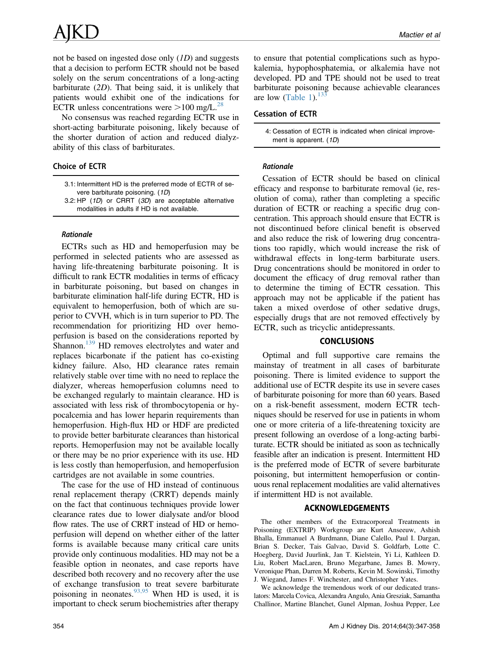not be based on ingested dose only (1D) and suggests that a decision to perform ECTR should not be based solely on the serum concentrations of a long-acting barbiturate (2D). That being said, it is unlikely that patients would exhibit one of the indications for ECTR unless concentrations were  $>100$  mg/L.<sup>[28](#page-8-0)</sup>

No consensus was reached regarding ECTR use in short-acting barbiturate poisoning, likely because of the shorter duration of action and reduced dialyzability of this class of barbiturates.

## Choice of ECTR

- 3.1: Intermittent HD is the preferred mode of ECTR of severe barbiturate poisoning. (1D)
- 3.2: HP (1D) or CRRT (3D) are acceptable alternative modalities in adults if HD is not available.

extended as HD and hemoperfusion may be act TRs such as HD and hemoperfusion may be performed in selected patients who are assessed as having life-threatening barbiturate poisoning. It is difficult to rank ECTR modalities in terms of efficacy in barbiturate poisoning, but based on changes in barbiturate elimination half-life during ECTR, HD is equivalent to hemoperfusion, both of which are superior to CVVH, which is in turn superior to PD. The recommendation for prioritizing HD over hemoperfusion is based on the considerations reported by Shannon.<sup>139</sup> HD removes electrolytes and water and replaces bicarbonate if the patient has co-existing kidney failure. Also, HD clearance rates remain relatively stable over time with no need to replace the dialyzer, whereas hemoperfusion columns need to be exchanged regularly to maintain clearance. HD is associated with less risk of thrombocytopenia or hypocalcemia and has lower heparin requirements than hemoperfusion. High-flux HD or HDF are predicted to provide better barbiturate clearances than historical reports. Hemoperfusion may not be available locally or there may be no prior experience with its use. HD is less costly than hemoperfusion, and hemoperfusion cartridges are not available in some countries.

The case for the use of HD instead of continuous renal replacement therapy (CRRT) depends mainly on the fact that continuous techniques provide lower clearance rates due to lower dialysate and/or blood flow rates. The use of CRRT instead of HD or hemoperfusion will depend on whether either of the latter forms is available because many critical care units provide only continuous modalities. HD may not be a feasible option in neonates, and case reports have described both recovery and no recovery after the use of exchange transfusion to treat severe barbiturate poisoning in neonates.  $\frac{93,95}{93,95}$  When HD is used, it is important to check serum biochemistries after therapy

to ensure that potential complications such as hypokalemia, hypophosphatemia, or alkalemia have not developed. PD and TPE should not be used to treat barbiturate poisoning because achievable clearances are low [\(Table 1](#page-1-0)).  $133$ 

# Cessation of ECTR

4: Cessation of ECTR is indicated when clinical improvement is apparent. (1D)

Rationale Cessation of ECTR should be based on clinical efficacy and response to barbiturate removal (ie, resolution of coma), rather than completing a specific duration of ECTR or reaching a specific drug concentration. This approach should ensure that ECTR is not discontinued before clinical benefit is observed and also reduce the risk of lowering drug concentrations too rapidly, which would increase the risk of withdrawal effects in long-term barbiturate users. Drug concentrations should be monitored in order to document the efficacy of drug removal rather than to determine the timing of ECTR cessation. This approach may not be applicable if the patient has taken a mixed overdose of other sedative drugs, especially drugs that are not removed effectively by ECTR, such as tricyclic antidepressants.

# CONCLUSIONS

Optimal and full supportive care remains the mainstay of treatment in all cases of barbiturate poisoning. There is limited evidence to support the additional use of ECTR despite its use in severe cases of barbiturate poisoning for more than 60 years. Based on a risk-benefit assessment, modern ECTR techniques should be reserved for use in patients in whom one or more criteria of a life-threatening toxicity are present following an overdose of a long-acting barbiturate. ECTR should be initiated as soon as technically feasible after an indication is present. Intermittent HD is the preferred mode of ECTR of severe barbiturate poisoning, but intermittent hemoperfusion or continuous renal replacement modalities are valid alternatives if intermittent HD is not available.

# ACKNOWLEDGEMENTS

The other members of the Extracorporeal Treatments in Poisoning (EXTRIP) Workgroup are Kurt Anseeuw, Ashish Bhalla, Emmanuel A Burdmann, Diane Calello, Paul I. Dargan, Brian S. Decker, Tais Galvao, David S. Goldfarb, Lotte C. Hoegberg, David Juurlink, Jan T. Kielstein, Yi Li, Kathleen D. Liu, Robert MacLaren, Bruno Megarbane, James B. Mowry, Veronique Phan, Darren M. Roberts, Kevin M. Sowinski, Timothy J. Wiegand, James F. Winchester, and Christopher Yates.

We acknowledge the tremendous work of our dedicated translators: Marcela Covica, Alexandra Angulo, Ania Gresziak, Samantha Challinor, Martine Blanchet, Gunel Alpman, Joshua Pepper, Lee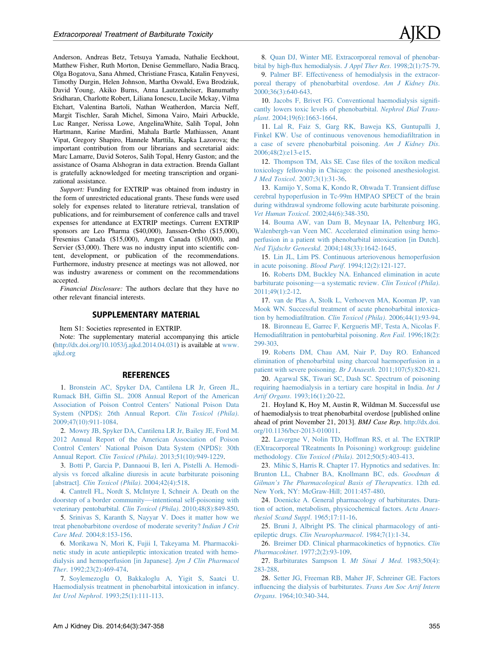<span id="page-8-0"></span>Anderson, Andreas Betz, Tetsuya Yamada, Nathalie Eeckhout, Matthew Fisher, Ruth Morton, Denise Gemmellaro, Nadia Bracq, Olga Bogatova, Sana Ahmed, Christiane Frasca, Katalin Fenyvesi, Timothy Durgin, Helen Johnson, Martha Oswald, Ewa Brodziuk, David Young, Akiko Burns, Anna Lautzenheiser, Banumathy Sridharan, Charlotte Robert, Liliana Ionescu, Lucile Mckay, Vilma Etchart, Valentina Bartoli, Nathan Weatherdon, Marcia Neff, Margit Tischler, Sarah Michel, Simona Vairo, Mairi Arbuckle, Luc Ranger, Nerissa Lowe, AngelinaWhite, Salih Topal, John Hartmann, Karine Mardini, Mahala Bartle Mathiassen, Anant Vipat, Gregory Shapiro, Hannele Marttila, Kapka Lazorova; the important contribution from our librarians and secretarial aids: Marc Lamarre, David Soteros, Salih Topal, Henry Gaston; and the assistance of Osama Alshogran in data extraction. Brenda Gallant is gratefully acknowledged for meeting transcription and organizational assistance.

Support: Funding for EXTRIP was obtained from industry in the form of unrestricted educational grants. These funds were used solely for expenses related to literature retrieval, translation of publications, and for reimbursement of conference calls and travel expenses for attendance at EXTRIP meetings. Current EXTRIP sponsors are Leo Pharma (\$40,000), Janssen-Ortho (\$15,000), Fresenius Canada (\$15,000), Amgen Canada (\$10,000), and Servier (\$3,000). There was no industry input into scientific content, development, or publication of the recommendations. Furthermore, industry presence at meetings was not allowed, nor was industry awareness or comment on the recommendations accepted.

Financial Disclosure: The authors declare that they have no other relevant financial interests.

#### SUPPLEMENTARY MATERIAL

Item S1: Societies represented in EXTRIP.

Note: The supplementary material accompanying this article ([http://dx.doi.org/10.1053/j.ajkd.2014.04.031\)](http://dx.doi.org/10.1053/j.ajkd.2014.04.031) is available at [www.](http://www.ajkd.org) [ajkd.org](http://www.ajkd.org)

#### **REFERENCES**

1. [Bronstein AC, Spyker DA, Cantilena LR Jr, Green JL,](http://refhub.elsevier.com/S0272-6386(14)00884-1/sref1) Rumack BH, Giffi[n SL. 2008 Annual Report of the American](http://refhub.elsevier.com/S0272-6386(14)00884-1/sref1) [Association of Poison Control Centers](http://refhub.elsevier.com/S0272-6386(14)00884-1/sref1)' National Poison Data [System \(NPDS\): 26th Annual Report.](http://refhub.elsevier.com/S0272-6386(14)00884-1/sref1) Clin Toxicol (Phila). [2009;47\(10\):911-1084](http://refhub.elsevier.com/S0272-6386(14)00884-1/sref1).

2. [Mowry JB, Spyker DA, Cantilena LR Jr, Bailey JE, Ford M.](http://refhub.elsevier.com/S0272-6386(14)00884-1/sref2) [2012 Annual Report of the American Association of Poison](http://refhub.elsevier.com/S0272-6386(14)00884-1/sref2) Control Centers' [National Poison Data System \(NPDS\): 30th](http://refhub.elsevier.com/S0272-6386(14)00884-1/sref2) Annual Report. Clin Toxicol (Phila)[. 2013;51\(10\):949-1229](http://refhub.elsevier.com/S0272-6386(14)00884-1/sref2).

3. [Botti P, Garcia P, Dannaoui B, Ieri A, Pistelli A. Hemodi](http://refhub.elsevier.com/S0272-6386(14)00884-1/sref3)[alysis vs forced alkaline diuresis in acute barbiturate poisoning](http://refhub.elsevier.com/S0272-6386(14)00884-1/sref3) [abstract]. [Clin Toxicol \(Phila\)](http://refhub.elsevier.com/S0272-6386(14)00884-1/sref3). 2004;42(4):518.

4. [Cantrell FL, Nordt S, McIntyre I, Schneir A. Death on the](http://refhub.elsevier.com/S0272-6386(14)00884-1/sref4) [doorstep of a border community](http://refhub.elsevier.com/S0272-6386(14)00884-1/sref4)[—](http://refhub.elsevier.com/S0272-6386(14)00884-1/sref4)[intentional self-poisoning with](http://refhub.elsevier.com/S0272-6386(14)00884-1/sref4) [veterinary pentobarbital.](http://refhub.elsevier.com/S0272-6386(14)00884-1/sref4) Clin Toxicol (Phila). 2010;48(8):849-850.

5. [Srinivas S, Karanth S, Nayyar V. Does it matter how we](http://refhub.elsevier.com/S0272-6386(14)00884-1/sref5) [treat phenobarbitone overdose of moderate severity?](http://refhub.elsevier.com/S0272-6386(14)00884-1/sref5) Indian J Crit Care Med[. 2004;8:153-156](http://refhub.elsevier.com/S0272-6386(14)00884-1/sref5).

6. [Morikawa N, Mori K, Fujii I, Takeyama M. Pharmacoki](http://refhub.elsevier.com/S0272-6386(14)00884-1/sref6)[netic study in acute antiepileptic intoxication treated with hemo](http://refhub.elsevier.com/S0272-6386(14)00884-1/sref6)[dialysis and hemoperfusion \[in Japanese\].](http://refhub.elsevier.com/S0272-6386(14)00884-1/sref6) Jpn J Clin Pharmacol Ther[. 1992;23\(2\):469-474.](http://refhub.elsevier.com/S0272-6386(14)00884-1/sref6)

7. [Soylemezoglu O, Bakkaloglu A, Yigit S, Saatci U.](http://refhub.elsevier.com/S0272-6386(14)00884-1/sref7) [Haemodialysis treatment in phenobarbital intoxication in infancy.](http://refhub.elsevier.com/S0272-6386(14)00884-1/sref7) Int Urol Nephrol[. 1993;25\(1\):111-113.](http://refhub.elsevier.com/S0272-6386(14)00884-1/sref7)

8. [Quan DJ, Winter ME. Extracorporeal removal of phenobar](http://refhub.elsevier.com/S0272-6386(14)00884-1/sref8)bital by high-flux hemodialysis. J Appl Ther Res[. 1998;2\(1\):75-79.](http://refhub.elsevier.com/S0272-6386(14)00884-1/sref8)

9. [Palmer BF. Effectiveness of hemodialysis in the extracor](http://refhub.elsevier.com/S0272-6386(14)00884-1/sref9)[poreal therapy of phenobarbital overdose.](http://refhub.elsevier.com/S0272-6386(14)00884-1/sref9) Am J Kidney Dis. [2000;36\(3\):640-643.](http://refhub.elsevier.com/S0272-6386(14)00884-1/sref9)

10. [Jacobs F, Brivet FG. Conventional haemodialysis signi](http://refhub.elsevier.com/S0272-6386(14)00884-1/sref10)fi[cantly lowers toxic levels of phenobarbital.](http://refhub.elsevier.com/S0272-6386(14)00884-1/sref10) Nephrol Dial Transplant[. 2004;19\(6\):1663-1664.](http://refhub.elsevier.com/S0272-6386(14)00884-1/sref10)

11. [Lal R, Faiz S, Garg RK, Baweja KS, Guntupalli J,](http://refhub.elsevier.com/S0272-6386(14)00884-1/sref11) [Finkel KW. Use of continuous venovenous hemodia](http://refhub.elsevier.com/S0272-6386(14)00884-1/sref11)filtration in [a case of severe phenobarbital poisoning.](http://refhub.elsevier.com/S0272-6386(14)00884-1/sref11) Am J Kidney Dis. [2006;48\(2\):e13-e15.](http://refhub.elsevier.com/S0272-6386(14)00884-1/sref11)

12. [Thompson TM, Aks SE. Case](http://refhub.elsevier.com/S0272-6386(14)00884-1/sref12) files of the toxikon medical [toxicology fellowship in Chicago: the poisoned anesthesiologist.](http://refhub.elsevier.com/S0272-6386(14)00884-1/sref12) J Med Toxicol[. 2007;3\(1\):31-36](http://refhub.elsevier.com/S0272-6386(14)00884-1/sref12).

13. [Kamijo Y, Soma K, Kondo R, Ohwada T. Transient diffuse](http://refhub.elsevier.com/S0272-6386(14)00884-1/sref13) [cerebral hypoperfusion in Tc-99m HMPAO SPECT of the brain](http://refhub.elsevier.com/S0272-6386(14)00884-1/sref13) [during withdrawal syndrome following acute barbiturate poisoning.](http://refhub.elsevier.com/S0272-6386(14)00884-1/sref13) Vet Human Toxicol[. 2002;44\(6\):348-350.](http://refhub.elsevier.com/S0272-6386(14)00884-1/sref13)

14. [Bouma AW, van Dam B, Meynaar IA, Peltenburg HG,](http://refhub.elsevier.com/S0272-6386(14)00884-1/sref14) [Walenbergh-van Veen MC. Accelerated elimination using hemo](http://refhub.elsevier.com/S0272-6386(14)00884-1/sref14)[perfusion in a patient with phenobarbital intoxication \[in Dutch\].](http://refhub.elsevier.com/S0272-6386(14)00884-1/sref14) Ned Tijdschr Geneeskd[. 2004;148\(33\):1642-1645](http://refhub.elsevier.com/S0272-6386(14)00884-1/sref14).

15. [Lin JL, Lim PS. Continuous arteriovenous hemoperfusion](http://refhub.elsevier.com/S0272-6386(14)00884-1/sref15) in acute poisoning. Blood Purif[. 1994;12\(2\):121-127.](http://refhub.elsevier.com/S0272-6386(14)00884-1/sref15)

16. [Roberts DM, Buckley NA. Enhanced elimination in acute](http://refhub.elsevier.com/S0272-6386(14)00884-1/sref16) [barbiturate poisoning](http://refhub.elsevier.com/S0272-6386(14)00884-1/sref16)[—](http://refhub.elsevier.com/S0272-6386(14)00884-1/sref16)[a systematic review.](http://refhub.elsevier.com/S0272-6386(14)00884-1/sref16) Clin Toxicol (Phila). [2011;49\(1\):2-12](http://refhub.elsevier.com/S0272-6386(14)00884-1/sref16).

17. [van de Plas A, Stolk L, Verhoeven MA, Kooman JP, van](http://refhub.elsevier.com/S0272-6386(14)00884-1/sref17) [Mook WN. Successful treatment of acute phenobarbital intoxica](http://refhub.elsevier.com/S0272-6386(14)00884-1/sref17)tion by hemodiafiltration. [Clin Toxicol \(Phila\)](http://refhub.elsevier.com/S0272-6386(14)00884-1/sref17). 2006;44(1):93-94.

18. [Bironneau E, Garrec F, Kergueris MF, Testa A, Nicolas F.](http://refhub.elsevier.com/S0272-6386(14)00884-1/sref18) Hemodiafi[ltration in pentobarbital poisoning.](http://refhub.elsevier.com/S0272-6386(14)00884-1/sref18) Ren Fail. 1996;18(2): [299-303.](http://refhub.elsevier.com/S0272-6386(14)00884-1/sref18)

19. [Roberts DM, Chau AM, Nair P, Day RO. Enhanced](http://refhub.elsevier.com/S0272-6386(14)00884-1/sref19) [elimination of phenobarbital using charcoal haemoperfusion in a](http://refhub.elsevier.com/S0272-6386(14)00884-1/sref19) [patient with severe poisoning.](http://refhub.elsevier.com/S0272-6386(14)00884-1/sref19) Br J Anaesth. 2011;107(5):820-821.

20. [Agarwal SK, Tiwari SC, Dash SC. Spectrum of poisoning](http://refhub.elsevier.com/S0272-6386(14)00884-1/sref20) [requiring haemodialysis in a tertiary care hospital in India.](http://refhub.elsevier.com/S0272-6386(14)00884-1/sref20) Int J Artif Organs[. 1993;16\(1\):20-22.](http://refhub.elsevier.com/S0272-6386(14)00884-1/sref20)

21. Hoyland K, Hoy M, Austin R, Wildman M. Successful use of haemodialysis to treat phenobarbital overdose [published online ahead of print November 21, 2013]. BMJ Case Rep. [http://dx.doi.](http://dx.doi.org/10.1136/bcr-2013-010011) [org/10.1136/bcr-2013-010011.](http://dx.doi.org/10.1136/bcr-2013-010011)

22. [Lavergne V, Nolin TD, Hoffman RS, et al. The EXTRIP](http://refhub.elsevier.com/S0272-6386(14)00884-1/sref21) [\(EXtracorporeal TReatments In Poisoning\) workgroup: guideline](http://refhub.elsevier.com/S0272-6386(14)00884-1/sref21) methodology. Clin Toxicol (Phila)[. 2012;50\(5\):403-413.](http://refhub.elsevier.com/S0272-6386(14)00884-1/sref21)

23. [Mihic S, Harris R. Chapter 17. Hypnotics and sedatives. In:](http://refhub.elsevier.com/S0272-6386(14)00884-1/sref22) [Brunton LL, Chabner BA, Knollmann BC, eds.](http://refhub.elsevier.com/S0272-6386(14)00884-1/sref22) Goodman & Gilman'[s The Pharmacological Basis of Therapeutics](http://refhub.elsevier.com/S0272-6386(14)00884-1/sref22). 12th ed. [New York, NY: McGraw-Hill; 2011:457-480](http://refhub.elsevier.com/S0272-6386(14)00884-1/sref22).

24. [Doenicke A. General pharmacology of barbiturates. Dura](http://refhub.elsevier.com/S0272-6386(14)00884-1/sref23)[tion of action, metabolism, physicochemical factors.](http://refhub.elsevier.com/S0272-6386(14)00884-1/sref23) Acta Anaes[thesiol Scand Suppl](http://refhub.elsevier.com/S0272-6386(14)00884-1/sref23). 1965;17:11-16.

25. [Bruni J, Albright PS. The clinical pharmacology of anti](http://refhub.elsevier.com/S0272-6386(14)00884-1/sref24)epileptic drugs. [Clin Neuropharmacol](http://refhub.elsevier.com/S0272-6386(14)00884-1/sref24). 1984;7(1):1-34.

26. [Breimer DD. Clinical pharmacokinetics of hypnotics.](http://refhub.elsevier.com/S0272-6386(14)00884-1/sref25) Clin Pharmacokinet[. 1977;2\(2\):93-109.](http://refhub.elsevier.com/S0272-6386(14)00884-1/sref25)

27. [Barbiturates Sampson I.](http://refhub.elsevier.com/S0272-6386(14)00884-1/sref26) Mt Sinai J Med. 1983;50(4): [283-288](http://refhub.elsevier.com/S0272-6386(14)00884-1/sref26).

28. [Setter JG, Freeman RB, Maher JF, Schreiner GE. Factors](http://refhub.elsevier.com/S0272-6386(14)00884-1/sref27) infl[uencing the dialysis of barbiturates.](http://refhub.elsevier.com/S0272-6386(14)00884-1/sref27) Trans Am Soc Artif Intern Organs[. 1964;10:340-344](http://refhub.elsevier.com/S0272-6386(14)00884-1/sref27).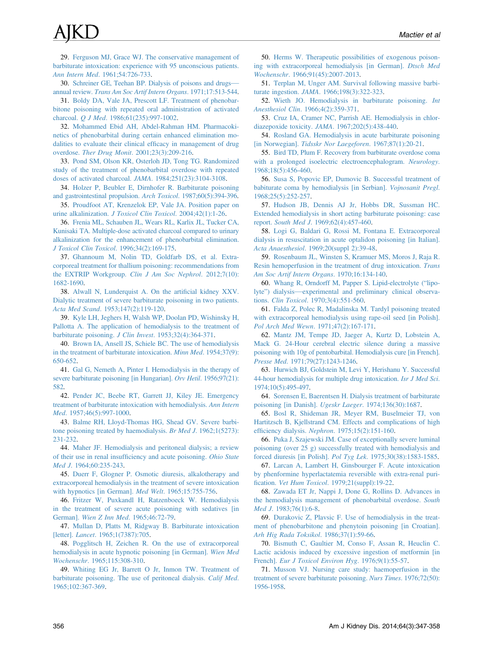<span id="page-9-0"></span>29. [Ferguson MJ, Grace WJ. The conservative management of](http://refhub.elsevier.com/S0272-6386(14)00884-1/sref28) [barbiturate intoxication: experience with 95 unconscious patients.](http://refhub.elsevier.com/S0272-6386(14)00884-1/sref28) Ann Intern Med[. 1961;54:726-733](http://refhub.elsevier.com/S0272-6386(14)00884-1/sref28).

30. [Schreiner GE, Teehan BP. Dialysis of poisons and drugs](http://refhub.elsevier.com/S0272-6386(14)00884-1/sref29) annual review. [Trans Am Soc Artif Intern Organs](http://refhub.elsevier.com/S0272-6386(14)00884-1/sref29). 1971;17:513-544.

31. [Boldy DA, Vale JA, Prescott LF. Treatment of phenobar](http://refhub.elsevier.com/S0272-6386(14)00884-1/sref30)[bitone poisoning with repeated oral administration of activated](http://refhub.elsevier.com/S0272-6386(14)00884-1/sref30) charcoal. Q J Med[. 1986;61\(235\):997-1002.](http://refhub.elsevier.com/S0272-6386(14)00884-1/sref30)

32. [Mohammed Ebid AH, Abdel-Rahman HM. Pharmacoki](http://refhub.elsevier.com/S0272-6386(14)00884-1/sref31)[netics of phenobarbital during certain enhanced elimination mo](http://refhub.elsevier.com/S0272-6386(14)00884-1/sref31)[dalities to evaluate their clinical ef](http://refhub.elsevier.com/S0272-6386(14)00884-1/sref31)ficacy in management of drug overdose. Ther Drug Monit[. 2001;23\(3\):209-216](http://refhub.elsevier.com/S0272-6386(14)00884-1/sref31).

33. [Pond SM, Olson KR, Osterloh JD, Tong TG. Randomized](http://refhub.elsevier.com/S0272-6386(14)00884-1/sref32) [study of the treatment of phenobarbital overdose with repeated](http://refhub.elsevier.com/S0272-6386(14)00884-1/sref32) [doses of activated charcoal.](http://refhub.elsevier.com/S0272-6386(14)00884-1/sref32) JAMA. 1984;251(23):3104-3108.

34. [Holzer P, Beubler E, Dirnhofer R. Barbiturate poisoning](http://refhub.elsevier.com/S0272-6386(14)00884-1/sref33) [and gastrointestinal propulsion.](http://refhub.elsevier.com/S0272-6386(14)00884-1/sref33) Arch Toxicol. 1987;60(5):394-396.

35. [Proudfoot AT, Krenzelok EP, Vale JA. Position paper on](http://refhub.elsevier.com/S0272-6386(14)00884-1/sref34) urine alkalinization. [J Toxicol Clin Toxicol](http://refhub.elsevier.com/S0272-6386(14)00884-1/sref34). 2004;42(1):1-26.

36. [Frenia ML, Schauben JL, Wears RL, Karlix JL, Tucker CA,](http://refhub.elsevier.com/S0272-6386(14)00884-1/sref35) [Kunisaki TA. Multiple-dose activated charcoal compared to urinary](http://refhub.elsevier.com/S0272-6386(14)00884-1/sref35) [alkalinization for the enhancement of phenobarbital elimination.](http://refhub.elsevier.com/S0272-6386(14)00884-1/sref35) [J Toxicol Clin Toxicol](http://refhub.elsevier.com/S0272-6386(14)00884-1/sref35). 1996;34(2):169-175.

37. [Ghannoum M, Nolin TD, Goldfarb DS, et al. Extra](http://refhub.elsevier.com/S0272-6386(14)00884-1/sref36)[corporeal treatment for thallium poisoning: recommendations from](http://refhub.elsevier.com/S0272-6386(14)00884-1/sref36) [the EXTRIP Workgroup.](http://refhub.elsevier.com/S0272-6386(14)00884-1/sref36) Clin J Am Soc Nephrol. 2012;7(10): [1682-1690](http://refhub.elsevier.com/S0272-6386(14)00884-1/sref36).

38. [Alwall N, Lunderquist A. On the arti](http://refhub.elsevier.com/S0272-6386(14)00884-1/sref37)ficial kidney XXV. [Dialytic treatment of severe barbiturate poisoning in two patients.](http://refhub.elsevier.com/S0272-6386(14)00884-1/sref37) Acta Med Scand[. 1953;147\(2\):119-120](http://refhub.elsevier.com/S0272-6386(14)00884-1/sref37).

39. [Kyle LH, Jeghers H, Walsh WP, Doolan PD, Wishinsky H,](http://refhub.elsevier.com/S0272-6386(14)00884-1/sref38) [Pallotta A. The application of hemodialysis to the treatment of](http://refhub.elsevier.com/S0272-6386(14)00884-1/sref38) [barbiturate poisoning.](http://refhub.elsevier.com/S0272-6386(14)00884-1/sref38) J Clin Invest. 1953;32(4):364-371.

40. [Brown IA, Ansell JS, Schiele BC. The use of hemodialysis](http://refhub.elsevier.com/S0272-6386(14)00884-1/sref39) [in the treatment of barbiturate intoxication.](http://refhub.elsevier.com/S0272-6386(14)00884-1/sref39) Minn Med. 1954;37(9): [650-652](http://refhub.elsevier.com/S0272-6386(14)00884-1/sref39).

41. [Gal G, Nemeth A, Pinter I. Hemodialysis in the therapy of](http://refhub.elsevier.com/S0272-6386(14)00884-1/sref40) [severe barbiturate poisoning \[in Hungarian\].](http://refhub.elsevier.com/S0272-6386(14)00884-1/sref40) Orv Hetil. 1956;97(21): [582](http://refhub.elsevier.com/S0272-6386(14)00884-1/sref40).

42. [Pender JC, Beebe RT, Garrett JJ, Kiley JE. Emergency](http://refhub.elsevier.com/S0272-6386(14)00884-1/sref41) [treatment of barbiturate intoxication with hemodialysis.](http://refhub.elsevier.com/S0272-6386(14)00884-1/sref41) Ann Intern Med[. 1957;46\(5\):997-1000.](http://refhub.elsevier.com/S0272-6386(14)00884-1/sref41)

43. [Balme RH, Lloyd-Thomas HG, Shead GV. Severe barbi](http://refhub.elsevier.com/S0272-6386(14)00884-1/sref42)[tone poisoning treated by haemodialysis.](http://refhub.elsevier.com/S0272-6386(14)00884-1/sref42) Br Med J. 1962;1(5273): [231-232](http://refhub.elsevier.com/S0272-6386(14)00884-1/sref42).

44. [Maher JF. Hemodialysis and peritoneal dialysis; a review](http://refhub.elsevier.com/S0272-6386(14)00884-1/sref43) of their use in renal insuffi[ciency and acute poisoning.](http://refhub.elsevier.com/S0272-6386(14)00884-1/sref43) Ohio State Med J[. 1964;60:235-243](http://refhub.elsevier.com/S0272-6386(14)00884-1/sref43).

45. [Duerr F, Glogner P. Osmotic diuresis, alkalotherapy and](http://refhub.elsevier.com/S0272-6386(14)00884-1/sref44) [extracorporeal hemodialysis in the treatment of severe intoxication](http://refhub.elsevier.com/S0272-6386(14)00884-1/sref44) [with hypnotics \[in German\].](http://refhub.elsevier.com/S0272-6386(14)00884-1/sref44) Med Welt. 1965;15:755-756.

46. [Fritzer W, Puxkandl H, Ratzenboeck W. Hemodialysis](http://refhub.elsevier.com/S0272-6386(14)00884-1/sref45) [in the treatment of severe acute poisoning with sedatives \[in](http://refhub.elsevier.com/S0272-6386(14)00884-1/sref45) German]. [Wien Z Inn Med](http://refhub.elsevier.com/S0272-6386(14)00884-1/sref45). 1965;46:72-79.

47. [Mullan D, Platts M, Ridgway B. Barbiturate intoxication](http://refhub.elsevier.com/S0272-6386(14)00884-1/sref46) [letter]. Lancet[. 1965;1\(7387\):705.](http://refhub.elsevier.com/S0272-6386(14)00884-1/sref46)

48. [Pogglitsch H, Zeichen R. On the use of extracorporeal](http://refhub.elsevier.com/S0272-6386(14)00884-1/sref47) [hemodialysis in acute hypnotic poisoning \[in German\].](http://refhub.elsevier.com/S0272-6386(14)00884-1/sref47) Wien Med Wochenschr[. 1965;115:308-310.](http://refhub.elsevier.com/S0272-6386(14)00884-1/sref47)

49. [Whiting EG Jr, Barrett O Jr, Inmon TW. Treatment of](http://refhub.elsevier.com/S0272-6386(14)00884-1/sref48) [barbiturate poisoning. The use of peritoneal dialysis.](http://refhub.elsevier.com/S0272-6386(14)00884-1/sref48) Calif Med. [1965;102:367-369](http://refhub.elsevier.com/S0272-6386(14)00884-1/sref48).

50. [Herms W. Therapeutic possibilities of exogenous poison](http://refhub.elsevier.com/S0272-6386(14)00884-1/sref49)[ing with extracorporeal hemodialysis \[in German\].](http://refhub.elsevier.com/S0272-6386(14)00884-1/sref49) Dtsch Med Wochenschr[. 1966;91\(45\):2007-2013.](http://refhub.elsevier.com/S0272-6386(14)00884-1/sref49)

51. [Terplan M, Unger AM. Survival following massive barbi](http://refhub.elsevier.com/S0272-6386(14)00884-1/sref50)turate ingestion. JAMA[. 1966;198\(3\):322-323](http://refhub.elsevier.com/S0272-6386(14)00884-1/sref50).

52. [Wieth JO. Hemodialysis in barbiturate poisoning.](http://refhub.elsevier.com/S0272-6386(14)00884-1/sref51) Int Anesthesiol Clin[. 1966;4\(2\):359-371](http://refhub.elsevier.com/S0272-6386(14)00884-1/sref51).

53. [Cruz IA, Cramer NC, Parrish AE. Hemodialysis in chlor](http://refhub.elsevier.com/S0272-6386(14)00884-1/sref52)diazepoxide toxicity. JAMA[. 1967;202\(5\):438-440.](http://refhub.elsevier.com/S0272-6386(14)00884-1/sref52)

54. [Rosland GA. Hemodialysis in acute barbiturate poisoning](http://refhub.elsevier.com/S0272-6386(14)00884-1/sref53) [in Norwegian]. [Tidsskr Nor Laegeforen](http://refhub.elsevier.com/S0272-6386(14)00884-1/sref53). 1967;87(1):20-21.

55. [Bird TD, Plum F. Recovery from barbiturate overdose coma](http://refhub.elsevier.com/S0272-6386(14)00884-1/sref54) [with a prolonged isoelectric electroencephalogram.](http://refhub.elsevier.com/S0272-6386(14)00884-1/sref54) Neurology. [1968;18\(5\):456-460.](http://refhub.elsevier.com/S0272-6386(14)00884-1/sref54)

56. [Susa S, Popovic EP, Dumovic B. Successful treatment of](http://refhub.elsevier.com/S0272-6386(14)00884-1/sref55) [babiturate coma by hemodialysis \[in Serbian\].](http://refhub.elsevier.com/S0272-6386(14)00884-1/sref55) Vojnosanit Pregl. [1968;25\(5\):252-257.](http://refhub.elsevier.com/S0272-6386(14)00884-1/sref55)

57. [Hudson JB, Dennis AJ Jr, Hobbs DR, Sussman HC.](http://refhub.elsevier.com/S0272-6386(14)00884-1/sref56) [Extended hemodialysis in short acting barbiturate poisoning: case](http://refhub.elsevier.com/S0272-6386(14)00884-1/sref56) report. South Med J[. 1969;62\(4\):457-460](http://refhub.elsevier.com/S0272-6386(14)00884-1/sref56).

58. [Logi G, Baldari G, Rossi M, Fontana E. Extracorporeal](http://refhub.elsevier.com/S0272-6386(14)00884-1/sref57) [dialysis in resuscitation in acute optalidon poisoning \[in Italian\].](http://refhub.elsevier.com/S0272-6386(14)00884-1/sref57) Acta Anaesthesiol[. 1969;20\(suppl 2\):39-48](http://refhub.elsevier.com/S0272-6386(14)00884-1/sref57).

59. [Rosenbaum JL, Winsten S, Kramuer MS, Moros J, Raja R.](http://refhub.elsevier.com/S0272-6386(14)00884-1/sref58) [Resin hemoperfusion in the treatment of drug intoxication.](http://refhub.elsevier.com/S0272-6386(14)00884-1/sref58) Trans [Am Soc Artif Intern Organs](http://refhub.elsevier.com/S0272-6386(14)00884-1/sref58). 1970;16:134-140.

60. [Whang R, Orndorff M, Papper S. Lipid-electrolyte \(](http://refhub.elsevier.com/S0272-6386(14)00884-1/sref59)"lipolyte"[\) dialysis](http://refhub.elsevier.com/S0272-6386(14)00884-1/sref59)[—](http://refhub.elsevier.com/S0272-6386(14)00884-1/sref59)[experimental and preliminary clinical observa](http://refhub.elsevier.com/S0272-6386(14)00884-1/sref59)tions. Clin Toxicol[. 1970;3\(4\):551-560](http://refhub.elsevier.com/S0272-6386(14)00884-1/sref59).

61. [Falda Z, Polec R, Madalinska M. Tardyl poisoning treated](http://refhub.elsevier.com/S0272-6386(14)00884-1/sref60) [with extracorporeal hemodialysis using rape-oil seed \[in Polish\].](http://refhub.elsevier.com/S0272-6386(14)00884-1/sref60) Pol Arch Med Wewn[. 1971;47\(2\):167-171.](http://refhub.elsevier.com/S0272-6386(14)00884-1/sref60)

62. [Mantz JM, Tempe JD, Jaeger A, Kurtz D, Lobstein A,](http://refhub.elsevier.com/S0272-6386(14)00884-1/sref61) [Mack G. 24-Hour cerebral electric silence during a massive](http://refhub.elsevier.com/S0272-6386(14)00884-1/sref61) [poisoning with 10g of pentobarbital. Hemodialysis cure \[in French\].](http://refhub.elsevier.com/S0272-6386(14)00884-1/sref61) Presse Med[. 1971;79\(27\):1243-1246.](http://refhub.elsevier.com/S0272-6386(14)00884-1/sref61)

63. [Hurwich BJ, Goldstein M, Levi Y, Herishanu Y. Successful](http://refhub.elsevier.com/S0272-6386(14)00884-1/sref62) [44-hour hemodialysis for multiple drug intoxication.](http://refhub.elsevier.com/S0272-6386(14)00884-1/sref62) Isr J Med Sci. [1974;10\(5\):495-497](http://refhub.elsevier.com/S0272-6386(14)00884-1/sref62).

64. [Sorensen E, Baerentsen H. Dialysis treatment of barbiturate](http://refhub.elsevier.com/S0272-6386(14)00884-1/sref63) [poisoning \[in Danish\].](http://refhub.elsevier.com/S0272-6386(14)00884-1/sref63) Ugeskr Laeger. 1974;136(30):1687.

65. [Bosl R, Shideman JR, Meyer RM, Buselmeier TJ, von](http://refhub.elsevier.com/S0272-6386(14)00884-1/sref64) [Hartitzsch B, Kjellstrand CM. Effects and complications of high](http://refhub.elsevier.com/S0272-6386(14)00884-1/sref64) efficiency dialysis. Nephron[. 1975;15\(2\):151-160.](http://refhub.elsevier.com/S0272-6386(14)00884-1/sref64)

66. [Puka J, Szajewski JM. Case of exceptionally severe luminal](http://refhub.elsevier.com/S0272-6386(14)00884-1/sref65) [poisoning \(over 25 g\) successfully treated with hemodialysis and](http://refhub.elsevier.com/S0272-6386(14)00884-1/sref65) [forced diuresis \[in Polish\].](http://refhub.elsevier.com/S0272-6386(14)00884-1/sref65) Pol Tyg Lek. 1975;30(38):1583-1585.

67. [Larcan A, Lambert H, Ginsbourger F. Acute intoxication](http://refhub.elsevier.com/S0272-6386(14)00884-1/sref66) [by phenformine hyperlactatemia reversible with extra-renal puri](http://refhub.elsevier.com/S0272-6386(14)00884-1/sref66)fication. Vet Hum Toxicol[. 1979;21\(suppl\):19-22.](http://refhub.elsevier.com/S0272-6386(14)00884-1/sref66)

68. [Zawada ET Jr, Nappi J, Done G, Rollins D. Advances in](http://refhub.elsevier.com/S0272-6386(14)00884-1/sref67) [the hemodialysis management of phenobarbital overdose.](http://refhub.elsevier.com/S0272-6386(14)00884-1/sref67) South Med J[. 1983;76\(1\):6-8](http://refhub.elsevier.com/S0272-6386(14)00884-1/sref67).

69. [Durakovic Z, Plavsic F. Use of hemodialysis in the treat](http://refhub.elsevier.com/S0272-6386(14)00884-1/sref68)[ment of phenobarbitone and phenytoin poisoning \[in Croatian\].](http://refhub.elsevier.com/S0272-6386(14)00884-1/sref68) [Arh Hig Rada Toksikol](http://refhub.elsevier.com/S0272-6386(14)00884-1/sref68). 1986;37(1):59-66.

70. [Bismuth C, Gaultier M, Conso F, Assan R, Heuclin C.](http://refhub.elsevier.com/S0272-6386(14)00884-1/sref69) [Lactic acidosis induced by excessive ingestion of metformin \[in](http://refhub.elsevier.com/S0272-6386(14)00884-1/sref69) French]. [Eur J Toxicol Environ Hyg](http://refhub.elsevier.com/S0272-6386(14)00884-1/sref69). 1976;9(1):55-57.

71. [Musson VJ. Nursing care study: haemoperfusion in the](http://refhub.elsevier.com/S0272-6386(14)00884-1/sref70) [treatment of severe barbiturate poisoning.](http://refhub.elsevier.com/S0272-6386(14)00884-1/sref70) Nurs Times. 1976;72(50): [1956-1958.](http://refhub.elsevier.com/S0272-6386(14)00884-1/sref70)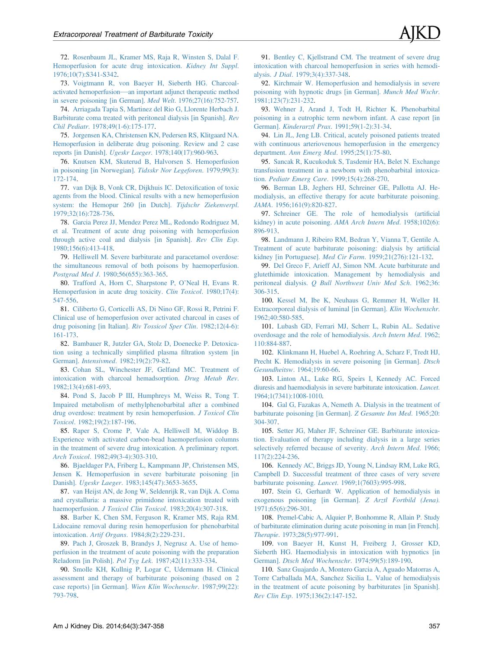<span id="page-10-0"></span>72. [Rosenbaum JL, Kramer MS, Raja R, Winsten S, Dalal F.](http://refhub.elsevier.com/S0272-6386(14)00884-1/sref71) [Hemoperfusion for acute drug intoxication.](http://refhub.elsevier.com/S0272-6386(14)00884-1/sref71) Kidney Int Suppl. [1976;10\(7\):S341-S342](http://refhub.elsevier.com/S0272-6386(14)00884-1/sref71).

73. [Voigtmann R, von Baeyer H, Sieberth HG. Charcoal](http://refhub.elsevier.com/S0272-6386(14)00884-1/sref72)[activated hemoperfusion](http://refhub.elsevier.com/S0272-6386(14)00884-1/sref72)[—](http://refhub.elsevier.com/S0272-6386(14)00884-1/sref72)[an important adjunct therapeutic method](http://refhub.elsevier.com/S0272-6386(14)00884-1/sref72) [in severe poisoning \[in German\].](http://refhub.elsevier.com/S0272-6386(14)00884-1/sref72) Med Welt. 1976;27(16):752-757.

74. [Arriagada Tapia S, Martinez del Rio G, Llorente Herbach J.](http://refhub.elsevier.com/S0272-6386(14)00884-1/sref73) [Barbiturate coma treated with peritoneal dialysis \[in Spanish\].](http://refhub.elsevier.com/S0272-6386(14)00884-1/sref73) Rev Chil Pediatr[. 1978;49\(1-6\):175-177](http://refhub.elsevier.com/S0272-6386(14)00884-1/sref73).

75. [Jorgensen KA, Christensen KN, Pedersen RS, Klitgaard NA.](http://refhub.elsevier.com/S0272-6386(14)00884-1/sref74) [Hemoperfusion in deliberate drug poisoning. Review and 2 case](http://refhub.elsevier.com/S0272-6386(14)00884-1/sref74) reports [in Danish]. Ugeskr Laeger[. 1978;140\(17\):960-963](http://refhub.elsevier.com/S0272-6386(14)00884-1/sref74).

76. [Knutsen KM, Skuterud B, Halvorsen S. Hemoperfusion](http://refhub.elsevier.com/S0272-6386(14)00884-1/sref75) [in poisoning \[in Norwegian\].](http://refhub.elsevier.com/S0272-6386(14)00884-1/sref75) Tidsskr Nor Legeforen. 1979;99(3): [172-174](http://refhub.elsevier.com/S0272-6386(14)00884-1/sref75).

77. [van Dijk B, Vonk CR, Dijkhuis IC. Detoxi](http://refhub.elsevier.com/S0272-6386(14)00884-1/sref76)fication of toxic [agents from the blood. Clinical results with a new hemoperfusion](http://refhub.elsevier.com/S0272-6386(14)00884-1/sref76) [system: the Hemopur 260 \[in Dutch\].](http://refhub.elsevier.com/S0272-6386(14)00884-1/sref76) Tijdschr Ziekenverpl. [1979;32\(16\):728-736.](http://refhub.elsevier.com/S0272-6386(14)00884-1/sref76)

78. [Garcia Perez JJ, Mendez Perez ML, Redondo Rodriguez M,](http://refhub.elsevier.com/S0272-6386(14)00884-1/sref77) [et al. Treatment of acute drug poisoning with hemoperfusion](http://refhub.elsevier.com/S0272-6386(14)00884-1/sref77) [through active coal and dialysis \[in Spanish\].](http://refhub.elsevier.com/S0272-6386(14)00884-1/sref77) Rev Clin Esp. [1980;156\(6\):413-418.](http://refhub.elsevier.com/S0272-6386(14)00884-1/sref77)

79. [Helliwell M. Severe barbiturate and paracetamol overdose:](http://refhub.elsevier.com/S0272-6386(14)00884-1/sref78) [the simultaneous removal of both poisons by haemoperfusion.](http://refhub.elsevier.com/S0272-6386(14)00884-1/sref78) Postgrad Med J[. 1980;56\(655\):363-365](http://refhub.elsevier.com/S0272-6386(14)00884-1/sref78).

80. [Trafford A, Horn C, Sharpstone P, O](http://refhub.elsevier.com/S0272-6386(14)00884-1/sref79)'Neal H, Evans R. [Hemoperfusion in acute drug toxicity.](http://refhub.elsevier.com/S0272-6386(14)00884-1/sref79) Clin Toxicol. 1980;17(4): [547-556](http://refhub.elsevier.com/S0272-6386(14)00884-1/sref79).

81. [Ciliberto G, Corticelli AS, Di Nino GF, Rossi R, Petrini F.](http://refhub.elsevier.com/S0272-6386(14)00884-1/sref80) [Clinical use of hemoperfusion over activated charcoal in cases of](http://refhub.elsevier.com/S0272-6386(14)00884-1/sref80) [drug poisoning \[in Italian\].](http://refhub.elsevier.com/S0272-6386(14)00884-1/sref80) Riv Tossicol Sper Clin. 1982;12(4-6): [161-173](http://refhub.elsevier.com/S0272-6386(14)00884-1/sref80).

82. [Bambauer R, Jutzler GA, Stolz D, Doenecke P. Detoxica](http://refhub.elsevier.com/S0272-6386(14)00884-1/sref81)[tion using a technically simpli](http://refhub.elsevier.com/S0272-6386(14)00884-1/sref81)fied plasma filtration system [in German]. Intensivmed[. 1982;19\(2\):79-82](http://refhub.elsevier.com/S0272-6386(14)00884-1/sref81).

83. [Cohan SL, Winchester JF, Gelfand MC. Treatment of](http://refhub.elsevier.com/S0272-6386(14)00884-1/sref82) [intoxication with charcoal hemadsorption.](http://refhub.elsevier.com/S0272-6386(14)00884-1/sref82) Drug Metab Rev. [1982;13\(4\):681-693.](http://refhub.elsevier.com/S0272-6386(14)00884-1/sref82)

84. [Pond S, Jacob P III, Humphreys M, Weiss R, Tong T.](http://refhub.elsevier.com/S0272-6386(14)00884-1/sref83) [Impaired metabolism of methylphenobarbital after a combined](http://refhub.elsevier.com/S0272-6386(14)00884-1/sref83) [drug overdose: treatment by resin hemoperfusion.](http://refhub.elsevier.com/S0272-6386(14)00884-1/sref83) J Toxicol Clin Toxicol[. 1982;19\(2\):187-196.](http://refhub.elsevier.com/S0272-6386(14)00884-1/sref83)

85. [Raper S, Crome P, Vale A, Helliwell M, Widdop B.](http://refhub.elsevier.com/S0272-6386(14)00884-1/sref84) [Experience with activated carbon-bead haemoperfusion columns](http://refhub.elsevier.com/S0272-6386(14)00884-1/sref84) [in the treatment of severe drug intoxication. A preliminary report.](http://refhub.elsevier.com/S0272-6386(14)00884-1/sref84) Arch Toxicol[. 1982;49\(3-4\):303-310.](http://refhub.elsevier.com/S0272-6386(14)00884-1/sref84)

86. [Bjaeldager PA, Friberg L, Kampmann JP, Christensen MS,](http://refhub.elsevier.com/S0272-6386(14)00884-1/sref85) [Jensen K. Hemoperfusion in severe barbiturate poisoning \[in](http://refhub.elsevier.com/S0272-6386(14)00884-1/sref85) Danish]. Ugeskr Laeger[. 1983;145\(47\):3653-3655.](http://refhub.elsevier.com/S0272-6386(14)00884-1/sref85)

87. [van Heijst AN, de Jong W, Seldenrijk R, van Dijk A. Coma](http://refhub.elsevier.com/S0272-6386(14)00884-1/sref86) [and crystalluria: a massive primidone intoxication treated with](http://refhub.elsevier.com/S0272-6386(14)00884-1/sref86) haemoperfusion. [J Toxicol Clin Toxicol](http://refhub.elsevier.com/S0272-6386(14)00884-1/sref86). 1983;20(4):307-318.

88. [Barber K, Chen SM, Ferguson R, Kramer MS, Raja RM.](http://refhub.elsevier.com/S0272-6386(14)00884-1/sref87) [Lidocaine removal during resin hemoperfusion for phenobarbital](http://refhub.elsevier.com/S0272-6386(14)00884-1/sref87) intoxication. Artif Organs[. 1984;8\(2\):229-231.](http://refhub.elsevier.com/S0272-6386(14)00884-1/sref87)

89. [Pach J, Groszek B, Brandys J, Negrusz A. Use of hemo](http://refhub.elsevier.com/S0272-6386(14)00884-1/sref88)[perfusion in the treatment of acute poisoning with the preparation](http://refhub.elsevier.com/S0272-6386(14)00884-1/sref88) Reladorm [in Polish]. Pol Tyg Lek[. 1987;42\(11\):333-334](http://refhub.elsevier.com/S0272-6386(14)00884-1/sref88).

90. [Smolle KH, Kullnig P, Logar C, Udermann H. Clinical](http://refhub.elsevier.com/S0272-6386(14)00884-1/sref89) [assessment and therapy of barbiturate poisoning \(based on 2](http://refhub.elsevier.com/S0272-6386(14)00884-1/sref89) [case reports\) \[in German\].](http://refhub.elsevier.com/S0272-6386(14)00884-1/sref89) Wien Klin Wochenschr. 1987;99(22): [793-798.](http://refhub.elsevier.com/S0272-6386(14)00884-1/sref89)

91. [Bentley C, Kjellstrand CM. The treatment of severe drug](http://refhub.elsevier.com/S0272-6386(14)00884-1/sref90) [intoxication with charcoal hemoperfusion in series with hemodi](http://refhub.elsevier.com/S0272-6386(14)00884-1/sref90)alysis. J Dial[. 1979;3\(4\):337-348.](http://refhub.elsevier.com/S0272-6386(14)00884-1/sref90)

92. [Kirchmair W. Hemoperfusion and hemodialysis in severe](http://refhub.elsevier.com/S0272-6386(14)00884-1/sref91) [poisoning with hypnotic drugs \[in German\].](http://refhub.elsevier.com/S0272-6386(14)00884-1/sref91) Munch Med Wschr. [1981;123\(7\):231-232](http://refhub.elsevier.com/S0272-6386(14)00884-1/sref91).

93. [Wehner J, Arand J, Todt H, Richter K. Phenobarbital](http://refhub.elsevier.com/S0272-6386(14)00884-1/sref92) [poisoning in a eutrophic term newborn infant. A case report \[in](http://refhub.elsevier.com/S0272-6386(14)00884-1/sref92) German]. Kinderarztl Prax[. 1991;59\(1-2\):31-34.](http://refhub.elsevier.com/S0272-6386(14)00884-1/sref92)

94. [Lin JL, Jeng LB. Critical, acutely poisoned patients treated](http://refhub.elsevier.com/S0272-6386(14)00884-1/sref93) [with continuous arteriovenous hemoperfusion in the emergency](http://refhub.elsevier.com/S0272-6386(14)00884-1/sref93) department. Ann Emerg Med[. 1995;25\(1\):75-80](http://refhub.elsevier.com/S0272-6386(14)00884-1/sref93).

95. [Sancak R, Kucukoduk S, Tasdemir HA, Belet N. Exchange](http://refhub.elsevier.com/S0272-6386(14)00884-1/sref94) [transfusion treatment in a newborn with phenobarbital intoxica](http://refhub.elsevier.com/S0272-6386(14)00884-1/sref94)tion. Pediatr Emerg Care[. 1999;15\(4\):268-270.](http://refhub.elsevier.com/S0272-6386(14)00884-1/sref94)

96. [Berman LB, Jeghers HJ, Schreiner GE, Pallotta AJ. He](http://refhub.elsevier.com/S0272-6386(14)00884-1/sref95)[modialysis, an effective therapy for acute barbiturate poisoning.](http://refhub.elsevier.com/S0272-6386(14)00884-1/sref95) JAMA[. 1956;161\(9\):820-827.](http://refhub.elsevier.com/S0272-6386(14)00884-1/sref95)

97. [Schreiner GE. The role of hemodialysis \(arti](http://refhub.elsevier.com/S0272-6386(14)00884-1/sref96)ficial [kidney\) in acute poisoning.](http://refhub.elsevier.com/S0272-6386(14)00884-1/sref96) AMA Arch Intern Med. 1958;102(6): [896-913](http://refhub.elsevier.com/S0272-6386(14)00884-1/sref96).

98. [Landmann J, Ribeiro RM, Bedran Y, Vianna T, Gentile A.](http://refhub.elsevier.com/S0272-6386(14)00884-1/sref97) [Treatment of acute barbiturate poisoning: dialysis by arti](http://refhub.elsevier.com/S0272-6386(14)00884-1/sref97)ficial kidney [in Portuguese]. Med Cir Farm[. 1959;21\(276\):121-132](http://refhub.elsevier.com/S0272-6386(14)00884-1/sref97).

99. [Del Greco F, Arieff AJ, Simon NM. Acute barbiturate and](http://refhub.elsevier.com/S0272-6386(14)00884-1/sref98) [glutethimide intoxication. Management by hemodialysis and](http://refhub.elsevier.com/S0272-6386(14)00884-1/sref98) peritoneal dialysis. [Q Bull Northwest Univ Med Sch](http://refhub.elsevier.com/S0272-6386(14)00884-1/sref98). 1962;36: [306-315](http://refhub.elsevier.com/S0272-6386(14)00884-1/sref98).

100. [Kessel M, Ibe K, Neuhaus G, Remmer H, Weller H.](http://refhub.elsevier.com/S0272-6386(14)00884-1/sref99) [Extracorporeal dialysis of luminal \[in German\].](http://refhub.elsevier.com/S0272-6386(14)00884-1/sref99) Klin Wochenschr. [1962;40:580-585](http://refhub.elsevier.com/S0272-6386(14)00884-1/sref99).

101. [Lubash GD, Ferrari MJ, Scherr L, Rubin AL. Sedative](http://refhub.elsevier.com/S0272-6386(14)00884-1/sref100) [overdosage and the role of hemodialysis.](http://refhub.elsevier.com/S0272-6386(14)00884-1/sref100) Arch Intern Med. 1962; [110:884-887](http://refhub.elsevier.com/S0272-6386(14)00884-1/sref100).

102. [Klinkmann H, Huebel A, Roehring A, Scharz F, Tredt HJ,](http://refhub.elsevier.com/S0272-6386(14)00884-1/sref101) [Precht K. Hemodialysis in severe poisoning \[in German\].](http://refhub.elsevier.com/S0272-6386(14)00884-1/sref101) Dtsch Gesundheitsw[. 1964;19:60-66.](http://refhub.elsevier.com/S0272-6386(14)00884-1/sref101)

103. [Linton AL, Luke RG, Speirs I, Kennedy AC. Forced](http://refhub.elsevier.com/S0272-6386(14)00884-1/sref102) [diuresis and haemodialysis in severe barbiturate intoxication.](http://refhub.elsevier.com/S0272-6386(14)00884-1/sref102) Lancet. [1964;1\(7341\):1008-1010.](http://refhub.elsevier.com/S0272-6386(14)00884-1/sref102)

104. [Gal G, Fazakas A, Nemeth A. Dialysis in the treatment of](http://refhub.elsevier.com/S0272-6386(14)00884-1/sref103) [barbiturate poisoning \[in German\].](http://refhub.elsevier.com/S0272-6386(14)00884-1/sref103) Z Gesamte Inn Med. 1965;20: [304-307](http://refhub.elsevier.com/S0272-6386(14)00884-1/sref103).

105. [Setter JG, Maher JF, Schreiner GE. Barbiturate intoxica](http://refhub.elsevier.com/S0272-6386(14)00884-1/sref104)[tion. Evaluation of therapy including dialysis in a large series](http://refhub.elsevier.com/S0272-6386(14)00884-1/sref104) [selectively referred because of severity.](http://refhub.elsevier.com/S0272-6386(14)00884-1/sref104) Arch Intern Med. 1966; [117\(2\):224-236.](http://refhub.elsevier.com/S0272-6386(14)00884-1/sref104)

106. [Kennedy AC, Briggs JD, Young N, Lindsay RM, Luke RG,](http://refhub.elsevier.com/S0272-6386(14)00884-1/sref105) [Campbell D. Successful treatment of three cases of very severe](http://refhub.elsevier.com/S0272-6386(14)00884-1/sref105) barbiturate poisoning. Lancet[. 1969;1\(7603\):995-998](http://refhub.elsevier.com/S0272-6386(14)00884-1/sref105).

107. [Stein G, Gerhardt W. Application of hemodialysis in](http://refhub.elsevier.com/S0272-6386(14)00884-1/sref106) [exogenous poisoning \[in German\].](http://refhub.elsevier.com/S0272-6386(14)00884-1/sref106) Z Arztl Fortbild (Jena). [1971;65\(6\):296-301.](http://refhub.elsevier.com/S0272-6386(14)00884-1/sref106)

108. [Premel-Cabic A, Alquier P, Bonhomme R, Allain P. Study](http://refhub.elsevier.com/S0272-6386(14)00884-1/sref107) [of barbiturate elimination during acute poisoning in man \[in French\].](http://refhub.elsevier.com/S0272-6386(14)00884-1/sref107) Therapie[. 1973;28\(5\):977-991.](http://refhub.elsevier.com/S0272-6386(14)00884-1/sref107)

109. [von Baeyer H, Kunst H, Freiberg J, Grosser KD,](http://refhub.elsevier.com/S0272-6386(14)00884-1/sref108) [Sieberth HG. Haemodialysis in intoxication with hypnotics \[in](http://refhub.elsevier.com/S0272-6386(14)00884-1/sref108) German]. [Dtsch Med Wochenschr](http://refhub.elsevier.com/S0272-6386(14)00884-1/sref108). 1974;99(5):189-190.

110. [Sanz Guajardo A, Montero Garcia A, Aguado Matorras A,](http://refhub.elsevier.com/S0272-6386(14)00884-1/sref109) [Torre Carballada MA, Sanchez Sicilia L. Value of hemodialysis](http://refhub.elsevier.com/S0272-6386(14)00884-1/sref109) [in the treatment of acute poisoning by barbiturates \[in Spanish\].](http://refhub.elsevier.com/S0272-6386(14)00884-1/sref109) Rev Clin Esp[. 1975;136\(2\):147-152](http://refhub.elsevier.com/S0272-6386(14)00884-1/sref109).